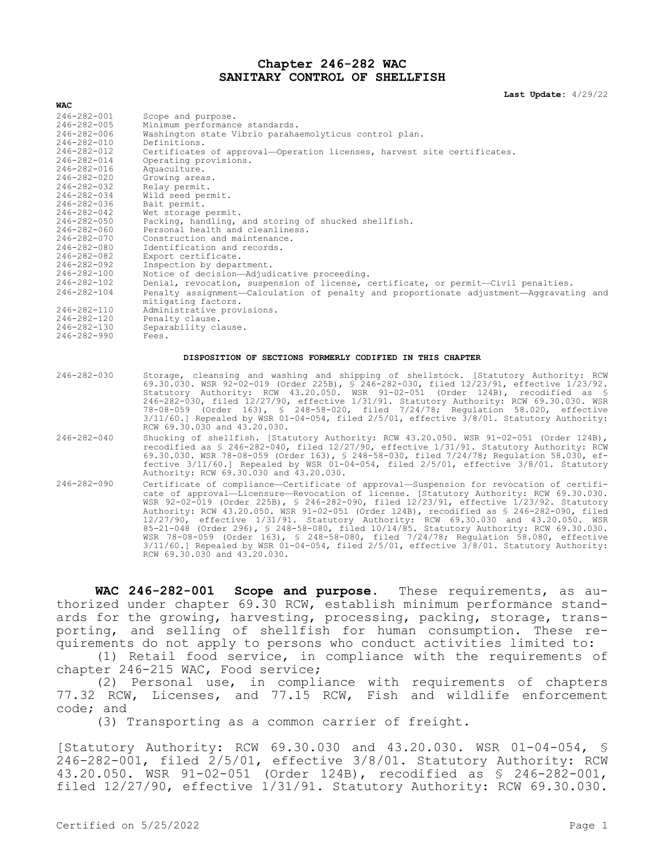## **Chapter 246-282 WAC SANITARY CONTROL OF SHELLFISH**

**Last Update:** 4/29/22

| 246-282-001<br>246-282-005<br>246-282-006<br>246-282-010  | Scope and purpose.<br>Minimum performance standards.<br>Washington state Vibrio parahaemolyticus control plan.<br>Definitions.                                                                                                                                                                                                                                                                                                                                                                                                                                                         |  |  |
|-----------------------------------------------------------|----------------------------------------------------------------------------------------------------------------------------------------------------------------------------------------------------------------------------------------------------------------------------------------------------------------------------------------------------------------------------------------------------------------------------------------------------------------------------------------------------------------------------------------------------------------------------------------|--|--|
| 246-282-012<br>$246 - 282 - 014$<br>$246 - 282 - 016$     | Certificates of approval-Operation licenses, harvest site certificates.<br>Operating provisions.                                                                                                                                                                                                                                                                                                                                                                                                                                                                                       |  |  |
| 246-282-020                                               | Aquaculture.<br>Growing areas.                                                                                                                                                                                                                                                                                                                                                                                                                                                                                                                                                         |  |  |
| $246 - 282 - 032$<br>246-282-034                          | Relay permit.<br>Wild seed permit.                                                                                                                                                                                                                                                                                                                                                                                                                                                                                                                                                     |  |  |
| 246-282-036                                               | Bait permit.                                                                                                                                                                                                                                                                                                                                                                                                                                                                                                                                                                           |  |  |
| 246-282-042<br>246-282-050                                | Wet storage permit.<br>Packing, handling, and storing of shucked shellfish.                                                                                                                                                                                                                                                                                                                                                                                                                                                                                                            |  |  |
| 246-282-060                                               | Personal health and cleanliness.                                                                                                                                                                                                                                                                                                                                                                                                                                                                                                                                                       |  |  |
| 246-282-070                                               | Construction and maintenance.                                                                                                                                                                                                                                                                                                                                                                                                                                                                                                                                                          |  |  |
| 246-282-080<br>246-282-082                                | Identification and records.<br>Export certificate.                                                                                                                                                                                                                                                                                                                                                                                                                                                                                                                                     |  |  |
| 246-282-092                                               | Inspection by department.                                                                                                                                                                                                                                                                                                                                                                                                                                                                                                                                                              |  |  |
| 246-282-100<br>$246 - 282 - 102$                          | Notice of decision-Adjudicative proceeding.<br>Denial, revocation, suspension of license, certificate, or permit-Civil penalties.                                                                                                                                                                                                                                                                                                                                                                                                                                                      |  |  |
| $246 - 282 - 104$                                         | Penalty assignment-Calculation of penalty and proportionate adjustment-Aggravating and<br>mitigating factors.                                                                                                                                                                                                                                                                                                                                                                                                                                                                          |  |  |
| 246-282-110                                               | Administrative provisions.                                                                                                                                                                                                                                                                                                                                                                                                                                                                                                                                                             |  |  |
| 246-282-120<br>$246 - 282 - 130$                          | Penalty clause.<br>Separability clause.                                                                                                                                                                                                                                                                                                                                                                                                                                                                                                                                                |  |  |
| $246 - 282 - 990$                                         | Fees.                                                                                                                                                                                                                                                                                                                                                                                                                                                                                                                                                                                  |  |  |
| DISPOSITION OF SECTIONS FORMERLY CODIFIED IN THIS CHAPTER |                                                                                                                                                                                                                                                                                                                                                                                                                                                                                                                                                                                        |  |  |
| $246 - 282 - 030$                                         | Storage, cleansing and washing and shipping of shellstock. [Statutory Authority: RCW<br>69.30.030. WSR 92-02-019 (Order 225B), § 246-282-030, filed 12/23/91, effective 1/23/92.<br>Statutory Authority: RCW 43.20.050. WSR 91-02-051 (Order 124B), recodified as §<br>246-282-030, filed 12/27/90, effective 1/31/91. Statutory Authority: RCW 69.30.030. WSR<br>78-08-059 (Order 163), § 248-58-020, filed 7/24/78; Requlation 58.020, effective<br>$3/11/60.$ Repealed by WSR 01-04-054, filed $2/5/01$ , effective $3/8/01$ . Statutory Authority:<br>RCW 69.30.030 and 43.20.030. |  |  |
| $246 - 282 - 040$                                         | Shucking of shellfish. [Statutory Authority: RCW 43.20.050. WSR 91-02-051 (Order 124B),<br>recodified as § 246-282-040, filed 12/27/90, effective 1/31/91. Statutory Authority: RCW<br>69.30.030. WSR 78-08-059 (Order 163), § 248-58-030, filed 7/24/78; Requlation 58.030, ef-                                                                                                                                                                                                                                                                                                       |  |  |

Authority: RCW 69.30.030 and 43.20.030. 246-282-090 Certificate of compliance—Certificate of approval—Suspension for revocation of certificate of approval—Licensure—Revocation of license. [Statutory Authority: RCW 69.30.030. WSR 92-02-019 (Order 225B), § 246-282-090, filed 12/23/91, effective 1/23/92. Statutory Authority: RCW 43.20.050. WSR 91-02-051 (Order 124B), recodified as § 246-282-090, filed 12/27/90, effective 1/31/91. Statutory Authority: RCW 69.30.030 and 43.20.050. WSR 85-21-048 (Order 296), § 248-58-080, filed 10/14/85. Statutory Authority: RCW 69.30.030. WSR 78-08-059 (Order 163), § 248-58-080, filed 7/24/78; Regulation 58.080, effective 3/11/60.] Repealed by WSR 01-04-054, filed 2/5/01, effective 3/8/01. Statutory Authority: RCW 69.30.030 and 43.20.030.

fective 3/11/60.] Repealed by WSR 01-04-054, filed 2/5/01, effective 3/8/01. Statutory

**WAC 246-282-001 Scope and purpose.** These requirements, as authorized under chapter 69.30 RCW, establish minimum performance standards for the growing, harvesting, processing, packing, storage, transporting, and selling of shellfish for human consumption. These requirements do not apply to persons who conduct activities limited to:

(1) Retail food service, in compliance with the requirements of chapter 246-215 WAC, Food service;

(2) Personal use, in compliance with requirements of chapters 77.32 RCW, Licenses, and 77.15 RCW, Fish and wildlife enforcement code; and

(3) Transporting as a common carrier of freight.

[Statutory Authority: RCW 69.30.030 and 43.20.030. WSR 01-04-054, § 246-282-001, filed 2/5/01, effective 3/8/01. Statutory Authority: RCW 43.20.050. WSR 91-02-051 (Order 124B), recodified as § 246-282-001, filed 12/27/90, effective 1/31/91. Statutory Authority: RCW 69.30.030.

**WAC**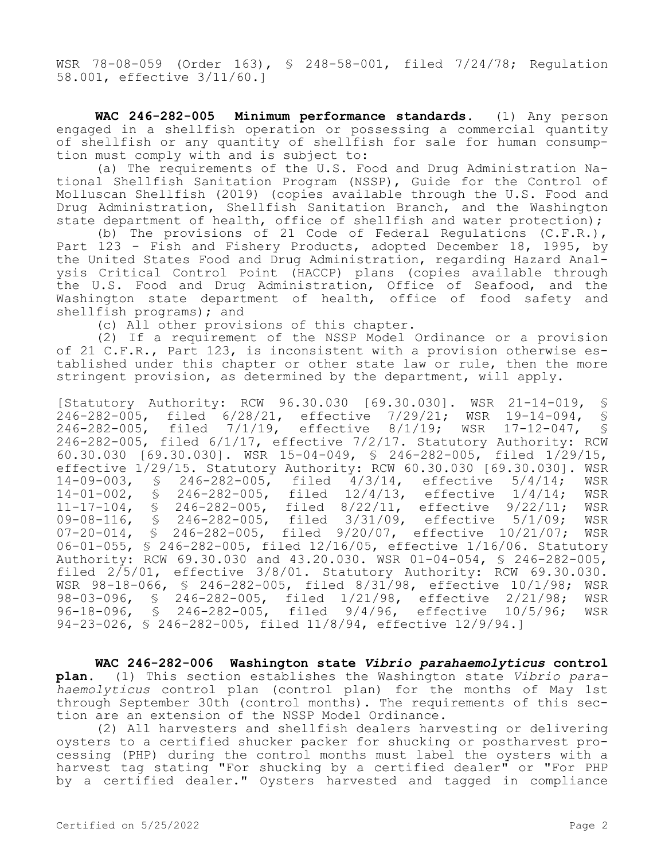WSR 78-08-059 (Order 163), § 248-58-001, filed 7/24/78; Regulation 58.001, effective 3/11/60.]

**WAC 246-282-005 Minimum performance standards.** (1) Any person engaged in a shellfish operation or possessing a commercial quantity of shellfish or any quantity of shellfish for sale for human consumption must comply with and is subject to:

(a) The requirements of the U.S. Food and Drug Administration National Shellfish Sanitation Program (NSSP), Guide for the Control of Molluscan Shellfish (2019) (copies available through the U.S. Food and Drug Administration, Shellfish Sanitation Branch, and the Washington state department of health, office of shellfish and water protection);

(b) The provisions of 21 Code of Federal Regulations (C.F.R.), Part 123 - Fish and Fishery Products, adopted December 18, 1995, by the United States Food and Drug Administration, regarding Hazard Analysis Critical Control Point (HACCP) plans (copies available through the U.S. Food and Drug Administration, Office of Seafood, and the Washington state department of health, office of food safety and shellfish programs); and

(c) All other provisions of this chapter.

(2) If a requirement of the NSSP Model Ordinance or a provision of 21 C.F.R., Part 123, is inconsistent with a provision otherwise established under this chapter or other state law or rule, then the more stringent provision, as determined by the department, will apply.

[Statutory Authority: RCW 96.30.030 [69.30.030]. WSR 21-14-019, § 246-282-005, filed 6/28/21, effective 7/29/21; WSR 19-14-094, § 246-282-005, filed 7/1/19, effective 8/1/19; WSR 17-12-047, § 246-282-005, filed 6/1/17, effective 7/2/17. Statutory Authority: RCW 60.30.030 [69.30.030]. WSR 15-04-049, § 246-282-005, filed 1/29/15, effective 1/29/15. Statutory Authority: RCW 60.30.030 [69.30.030]. WSR 14-09-003, § 246-282-005, filed 4/3/14, effective 5/4/14; WSR 14-01-002, § 246-282-005, filed 12/4/13, effective 1/4/14; WSR 11-17-104, § 246-282-005, filed 8/22/11, effective 9/22/11; WSR 09-08-116, § 246-282-005, filed 3/31/09, effective 5/1/09; WSR 07-20-014, § 246-282-005, filed 9/20/07, effective 10/21/07; WSR 06-01-055, § 246-282-005, filed 12/16/05, effective 1/16/06. Statutory Authority: RCW 69.30.030 and 43.20.030. WSR 01-04-054, § 246-282-005, filed 2/5/01, effective 3/8/01. Statutory Authority: RCW 69.30.030. WSR 98-18-066, § 246-282-005, filed 8/31/98, effective 10/1/98; WSR 98-03-096, § 246-282-005, filed 1/21/98, effective 2/21/98; WSR<br>96-18-096. § 246-282-005, filed 9/4/96, effective 10/5/96; WSR 96-18-096, § 246-282-005, filed 9/4/96, effective 10/5/96; WSR 94-23-026, § 246-282-005, filed 11/8/94, effective 12/9/94.]

**WAC 246-282-006 Washington state** *Vibrio parahaemolyticus* **control plan.** (1) This section establishes the Washington state *Vibrio parahaemolyticus* control plan (control plan) for the months of May 1st through September 30th (control months). The requirements of this section are an extension of the NSSP Model Ordinance.

(2) All harvesters and shellfish dealers harvesting or delivering oysters to a certified shucker packer for shucking or postharvest processing (PHP) during the control months must label the oysters with a harvest tag stating "For shucking by a certified dealer" or "For PHP by a certified dealer." Oysters harvested and tagged in compliance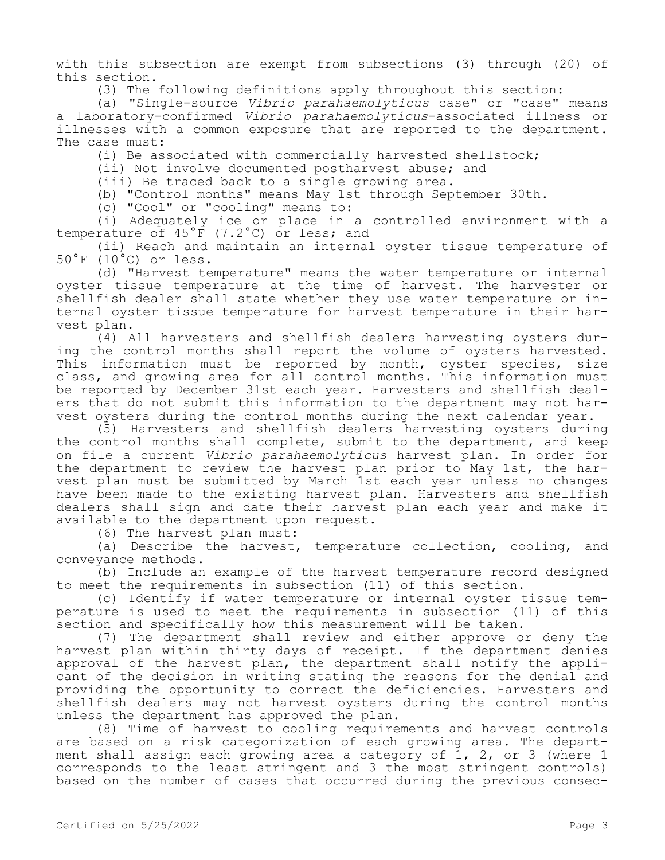with this subsection are exempt from subsections (3) through (20) of this section.

(3) The following definitions apply throughout this section:

(a) "Single-source *Vibrio parahaemolyticus* case" or "case" means a laboratory-confirmed *Vibrio parahaemolyticus*-associated illness or illnesses with a common exposure that are reported to the department. The case must:

(i) Be associated with commercially harvested shellstock;

(ii) Not involve documented postharvest abuse; and

(iii) Be traced back to a single growing area.

(b) "Control months" means May 1st through September 30th.

(c) "Cool" or "cooling" means to:

(i) Adequately ice or place in a controlled environment with a temperature of 45°F (7.2°C) or less; and

(ii) Reach and maintain an internal oyster tissue temperature of 50°F (10°C) or less.

(d) "Harvest temperature" means the water temperature or internal oyster tissue temperature at the time of harvest. The harvester or shellfish dealer shall state whether they use water temperature or internal oyster tissue temperature for harvest temperature in their harvest plan.

(4) All harvesters and shellfish dealers harvesting oysters during the control months shall report the volume of oysters harvested. This information must be reported by month, oyster species, size class, and growing area for all control months. This information must be reported by December 31st each year. Harvesters and shellfish dealers that do not submit this information to the department may not harvest oysters during the control months during the next calendar year.

(5) Harvesters and shellfish dealers harvesting oysters during the control months shall complete, submit to the department, and keep on file a current *Vibrio parahaemolyticus* harvest plan. In order for the department to review the harvest plan prior to May 1st, the harvest plan must be submitted by March 1st each year unless no changes have been made to the existing harvest plan. Harvesters and shellfish dealers shall sign and date their harvest plan each year and make it available to the department upon request.

(6) The harvest plan must:

(a) Describe the harvest, temperature collection, cooling, and conveyance methods.

(b) Include an example of the harvest temperature record designed to meet the requirements in subsection (11) of this section.

(c) Identify if water temperature or internal oyster tissue temperature is used to meet the requirements in subsection (11) of this section and specifically how this measurement will be taken.

(7) The department shall review and either approve or deny the harvest plan within thirty days of receipt. If the department denies approval of the harvest plan, the department shall notify the applicant of the decision in writing stating the reasons for the denial and providing the opportunity to correct the deficiencies. Harvesters and shellfish dealers may not harvest oysters during the control months unless the department has approved the plan.

(8) Time of harvest to cooling requirements and harvest controls are based on a risk categorization of each growing area. The department shall assign each growing area a category of 1, 2, or 3 (where 1 corresponds to the least stringent and 3 the most stringent controls) based on the number of cases that occurred during the previous consec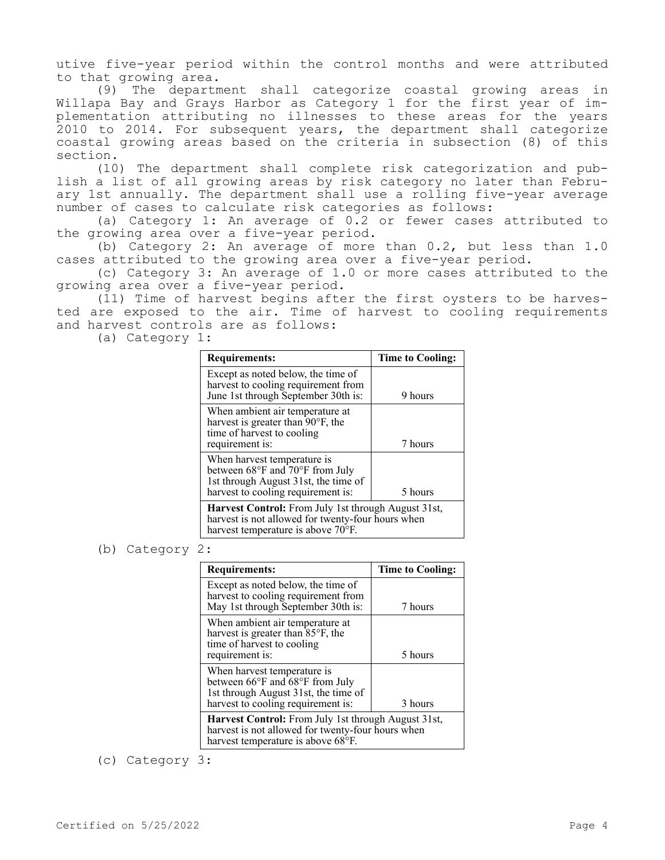utive five-year period within the control months and were attributed to that growing area.

(9) The department shall categorize coastal growing areas in Willapa Bay and Grays Harbor as Category 1 for the first year of implementation attributing no illnesses to these areas for the years 2010 to 2014. For subsequent years, the department shall categorize coastal growing areas based on the criteria in subsection (8) of this section.

(10) The department shall complete risk categorization and publish a list of all growing areas by risk category no later than February 1st annually. The department shall use a rolling five-year average number of cases to calculate risk categories as follows:

(a) Category 1: An average of 0.2 or fewer cases attributed to the growing area over a five-year period.

(b) Category 2: An average of more than 0.2, but less than 1.0 cases attributed to the growing area over a five-year period.

(c) Category 3: An average of 1.0 or more cases attributed to the growing area over a five-year period.

(11) Time of harvest begins after the first oysters to be harvested are exposed to the air. Time of harvest to cooling requirements and harvest controls are as follows:

(a) Category 1:

| <b>Requirements:</b>                                                                                                                                             | <b>Time to Cooling:</b> |
|------------------------------------------------------------------------------------------------------------------------------------------------------------------|-------------------------|
| Except as noted below, the time of<br>harvest to cooling requirement from<br>June 1st through September 30th is:                                                 | 9 hours                 |
| When ambient air temperature at<br>harvest is greater than 90°F, the<br>time of harvest to cooling<br>requirement is:                                            | 7 hours                 |
| When harvest temperature is<br>between $68^{\circ}$ F and $70^{\circ}$ F from July<br>1st through August 31st, the time of<br>harvest to cooling requirement is: | 5 hours                 |
| Harvest Control: From July 1st through August 31st,<br>harvest is not allowed for twenty-four hours when<br>harvest temperature is above 70°F.                   |                         |

## (b) Category 2:

| <b>Requirements:</b>                                                                                                                           | <b>Time to Cooling:</b> |  |
|------------------------------------------------------------------------------------------------------------------------------------------------|-------------------------|--|
| Except as noted below, the time of<br>harvest to cooling requirement from<br>May 1st through September 30th is:                                | 7 hours                 |  |
| When ambient air temperature at<br>harvest is greater than 85°F, the<br>time of harvest to cooling<br>requirement is:                          | 5 hours                 |  |
| When harvest temperature is<br>between 66°F and 68°F from July<br>1st through August 31st, the time of<br>harvest to cooling requirement is:   | 3 hours                 |  |
| Harvest Control: From July 1st through August 31st,<br>harvest is not allowed for twenty-four hours when<br>harvest temperature is above 68°F. |                         |  |

(c) Category 3: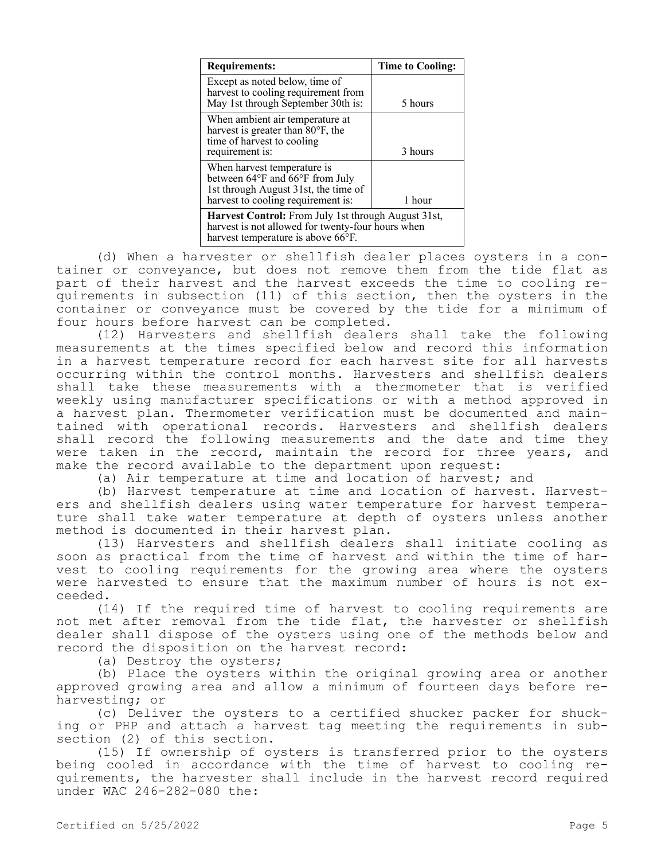| <b>Requirements:</b>                                                                                                                           | Time to Cooling: |  |
|------------------------------------------------------------------------------------------------------------------------------------------------|------------------|--|
| Except as noted below, time of<br>harvest to cooling requirement from<br>May 1st through September 30th is:                                    | 5 hours          |  |
| When ambient air temperature at<br>harvest is greater than 80°F, the<br>time of harvest to cooling<br>requirement is:                          | 3 hours          |  |
| When harvest temperature is<br>between 64°F and 66°F from July<br>1st through August 31st, the time of<br>harvest to cooling requirement is:   | 1 hour           |  |
| Harvest Control: From July 1st through August 31st,<br>harvest is not allowed for twenty-four hours when<br>harvest temperature is above 66°F. |                  |  |

(d) When a harvester or shellfish dealer places oysters in a container or conveyance, but does not remove them from the tide flat as part of their harvest and the harvest exceeds the time to cooling requirements in subsection (11) of this section, then the oysters in the container or conveyance must be covered by the tide for a minimum of four hours before harvest can be completed.

(12) Harvesters and shellfish dealers shall take the following measurements at the times specified below and record this information in a harvest temperature record for each harvest site for all harvests occurring within the control months. Harvesters and shellfish dealers shall take these measurements with a thermometer that is verified weekly using manufacturer specifications or with a method approved in a harvest plan. Thermometer verification must be documented and maintained with operational records. Harvesters and shellfish dealers shall record the following measurements and the date and time they were taken in the record, maintain the record for three years, and make the record available to the department upon request:

(a) Air temperature at time and location of harvest; and

(b) Harvest temperature at time and location of harvest. Harvesters and shellfish dealers using water temperature for harvest temperature shall take water temperature at depth of oysters unless another method is documented in their harvest plan.

(13) Harvesters and shellfish dealers shall initiate cooling as soon as practical from the time of harvest and within the time of harvest to cooling requirements for the growing area where the oysters were harvested to ensure that the maximum number of hours is not exceeded.

(14) If the required time of harvest to cooling requirements are not met after removal from the tide flat, the harvester or shellfish dealer shall dispose of the oysters using one of the methods below and record the disposition on the harvest record:

(a) Destroy the oysters;

(b) Place the oysters within the original growing area or another approved growing area and allow a minimum of fourteen days before reharvesting; or

(c) Deliver the oysters to a certified shucker packer for shucking or PHP and attach a harvest tag meeting the requirements in subsection (2) of this section.

(15) If ownership of oysters is transferred prior to the oysters being cooled in accordance with the time of harvest to cooling requirements, the harvester shall include in the harvest record required under WAC 246-282-080 the: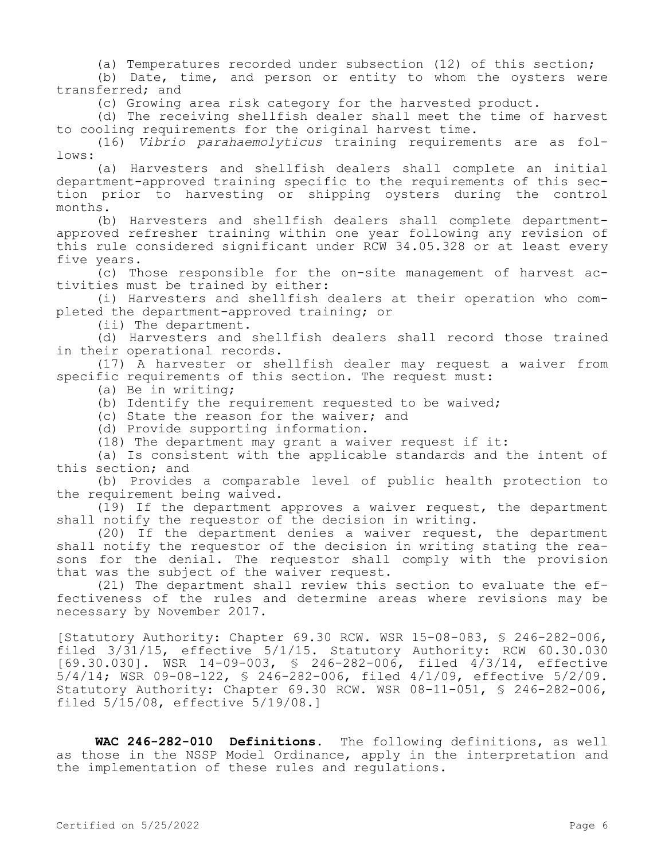(a) Temperatures recorded under subsection (12) of this section;

(b) Date, time, and person or entity to whom the oysters were transferred; and

(c) Growing area risk category for the harvested product.

(d) The receiving shellfish dealer shall meet the time of harvest to cooling requirements for the original harvest time.

(16) *Vibrio parahaemolyticus* training requirements are as follows:

(a) Harvesters and shellfish dealers shall complete an initial department-approved training specific to the requirements of this section prior to harvesting or shipping oysters during the control months.

(b) Harvesters and shellfish dealers shall complete departmentapproved refresher training within one year following any revision of this rule considered significant under RCW 34.05.328 or at least every five years.

(c) Those responsible for the on-site management of harvest activities must be trained by either:

(i) Harvesters and shellfish dealers at their operation who completed the department-approved training; or

(ii) The department.

(d) Harvesters and shellfish dealers shall record those trained in their operational records.

(17) A harvester or shellfish dealer may request a waiver from specific requirements of this section. The request must:

(a) Be in writing;

(b) Identify the requirement requested to be waived;

(c) State the reason for the waiver; and

(d) Provide supporting information.

(18) The department may grant a waiver request if it:

(a) Is consistent with the applicable standards and the intent of this section; and

(b) Provides a comparable level of public health protection to the requirement being waived.

(19) If the department approves a waiver request, the department shall notify the requestor of the decision in writing.

(20) If the department denies a waiver request, the department shall notify the requestor of the decision in writing stating the reasons for the denial. The requestor shall comply with the provision that was the subject of the waiver request.

(21) The department shall review this section to evaluate the effectiveness of the rules and determine areas where revisions may be necessary by November 2017.

[Statutory Authority: Chapter 69.30 RCW. WSR 15-08-083, § 246-282-006, filed 3/31/15, effective 5/1/15. Statutory Authority: RCW 60.30.030 [69.30.030]. WSR 14-09-003, § 246-282-006, filed 4/3/14, effective 5/4/14; WSR 09-08-122, § 246-282-006, filed 4/1/09, effective 5/2/09. Statutory Authority: Chapter 69.30 RCW. WSR 08-11-051, § 246-282-006, filed 5/15/08, effective 5/19/08.]

**WAC 246-282-010 Definitions.** The following definitions, as well as those in the NSSP Model Ordinance, apply in the interpretation and the implementation of these rules and regulations.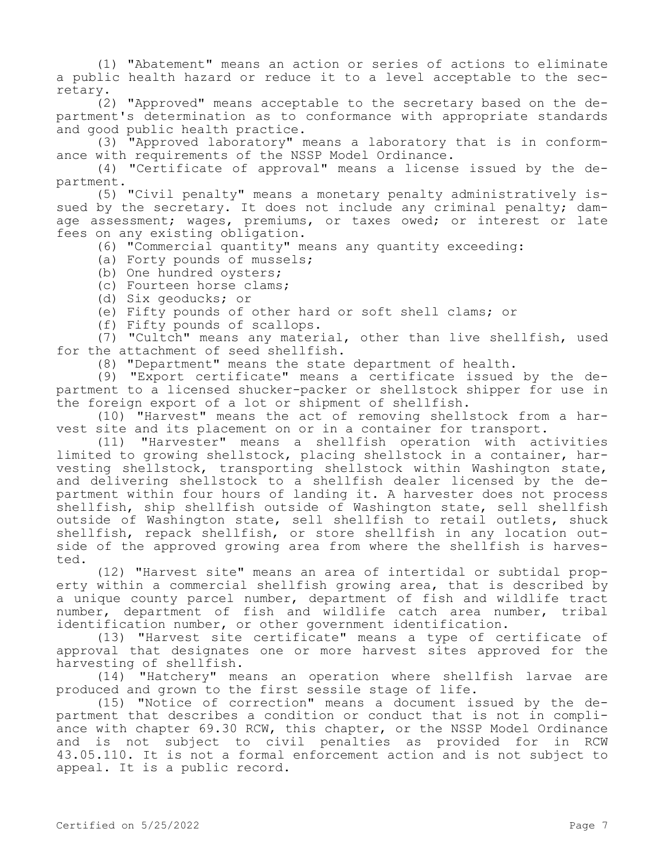(1) "Abatement" means an action or series of actions to eliminate a public health hazard or reduce it to a level acceptable to the secretary.

(2) "Approved" means acceptable to the secretary based on the department's determination as to conformance with appropriate standards and good public health practice.

(3) "Approved laboratory" means a laboratory that is in conformance with requirements of the NSSP Model Ordinance.

(4) "Certificate of approval" means a license issued by the department.

(5) "Civil penalty" means a monetary penalty administratively issued by the secretary. It does not include any criminal penalty; damage assessment; wages, premiums, or taxes owed; or interest or late fees on any existing obligation.

(6) "Commercial quantity" means any quantity exceeding:

- (a) Forty pounds of mussels;
- (b) One hundred oysters;
- (c) Fourteen horse clams;
- (d) Six geoducks; or
- (e) Fifty pounds of other hard or soft shell clams; or
- (f) Fifty pounds of scallops.

(7) "Cultch" means any material, other than live shellfish, used for the attachment of seed shellfish.

(8) "Department" means the state department of health.

(9) "Export certificate" means a certificate issued by the department to a licensed shucker-packer or shellstock shipper for use in the foreign export of a lot or shipment of shellfish.

(10) "Harvest" means the act of removing shellstock from a harvest site and its placement on or in a container for transport.

(11) "Harvester" means a shellfish operation with activities limited to growing shellstock, placing shellstock in a container, harvesting shellstock, transporting shellstock within Washington state, and delivering shellstock to a shellfish dealer licensed by the department within four hours of landing it. A harvester does not process shellfish, ship shellfish outside of Washington state, sell shellfish outside of Washington state, sell shellfish to retail outlets, shuck shellfish, repack shellfish, or store shellfish in any location outside of the approved growing area from where the shellfish is harvested.

(12) "Harvest site" means an area of intertidal or subtidal property within a commercial shellfish growing area, that is described by a unique county parcel number, department of fish and wildlife tract number, department of fish and wildlife catch area number, tribal identification number, or other government identification.

(13) "Harvest site certificate" means a type of certificate of approval that designates one or more harvest sites approved for the harvesting of shellfish.

(14) "Hatchery" means an operation where shellfish larvae are produced and grown to the first sessile stage of life.

(15) "Notice of correction" means a document issued by the department that describes a condition or conduct that is not in compliance with chapter 69.30 RCW, this chapter, or the NSSP Model Ordinance and is not subject to civil penalties as provided for in RCW 43.05.110. It is not a formal enforcement action and is not subject to appeal. It is a public record.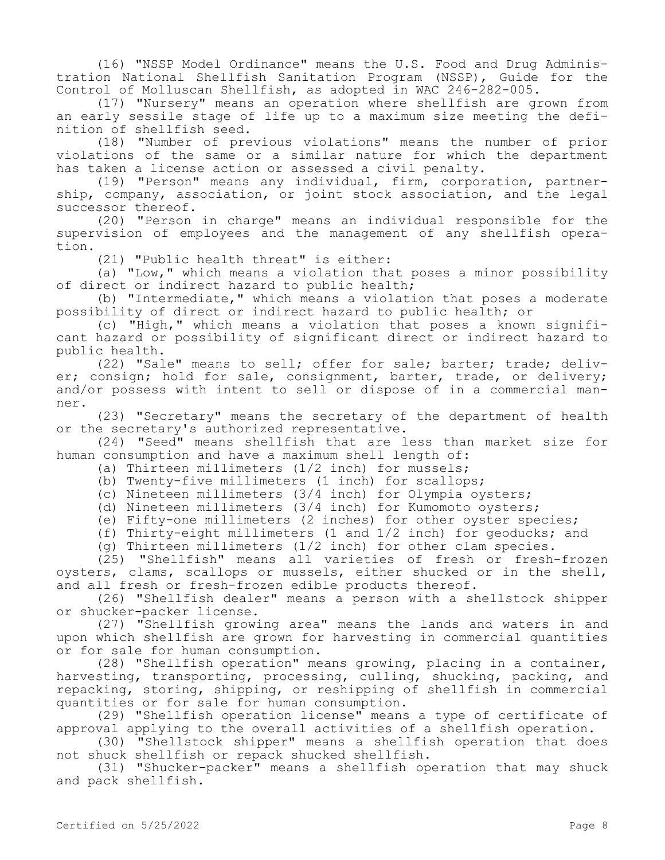(16) "NSSP Model Ordinance" means the U.S. Food and Drug Administration National Shellfish Sanitation Program (NSSP), Guide for the Control of Molluscan Shellfish, as adopted in WAC 246-282-005.

(17) "Nursery" means an operation where shellfish are grown from an early sessile stage of life up to a maximum size meeting the definition of shellfish seed.

(18) "Number of previous violations" means the number of prior violations of the same or a similar nature for which the department has taken a license action or assessed a civil penalty.

(19) "Person" means any individual, firm, corporation, partnership, company, association, or joint stock association, and the legal successor thereof.

(20) "Person in charge" means an individual responsible for the supervision of employees and the management of any shellfish operation.

(21) "Public health threat" is either:

(a) "Low," which means a violation that poses a minor possibility of direct or indirect hazard to public health;

(b) "Intermediate," which means a violation that poses a moderate possibility of direct or indirect hazard to public health; or

(c) "High," which means a violation that poses a known significant hazard or possibility of significant direct or indirect hazard to public health.

(22) "Sale" means to sell; offer for sale; barter; trade; deliver; consign; hold for sale, consignment, barter, trade, or delivery; and/or possess with intent to sell or dispose of in a commercial manner.

(23) "Secretary" means the secretary of the department of health or the secretary's authorized representative.

(24) "Seed" means shellfish that are less than market size for human consumption and have a maximum shell length of:

(a) Thirteen millimeters (1/2 inch) for mussels;

(b) Twenty-five millimeters (1 inch) for scallops;

(c) Nineteen millimeters (3/4 inch) for Olympia oysters;

(d) Nineteen millimeters (3/4 inch) for Kumomoto oysters;

(e) Fifty-one millimeters (2 inches) for other oyster species;

(f) Thirty-eight millimeters (1 and 1/2 inch) for geoducks; and

(g) Thirteen millimeters (1/2 inch) for other clam species.

(25) "Shellfish" means all varieties of fresh or fresh-frozen oysters, clams, scallops or mussels, either shucked or in the shell, and all fresh or fresh-frozen edible products thereof.

(26) "Shellfish dealer" means a person with a shellstock shipper or shucker-packer license.

(27) "Shellfish growing area" means the lands and waters in and upon which shellfish are grown for harvesting in commercial quantities or for sale for human consumption.

(28) "Shellfish operation" means growing, placing in a container, harvesting, transporting, processing, culling, shucking, packing, and repacking, storing, shipping, or reshipping of shellfish in commercial quantities or for sale for human consumption.

(29) "Shellfish operation license" means a type of certificate of approval applying to the overall activities of a shellfish operation.

(30) "Shellstock shipper" means a shellfish operation that does not shuck shellfish or repack shucked shellfish.

(31) "Shucker-packer" means a shellfish operation that may shuck and pack shellfish.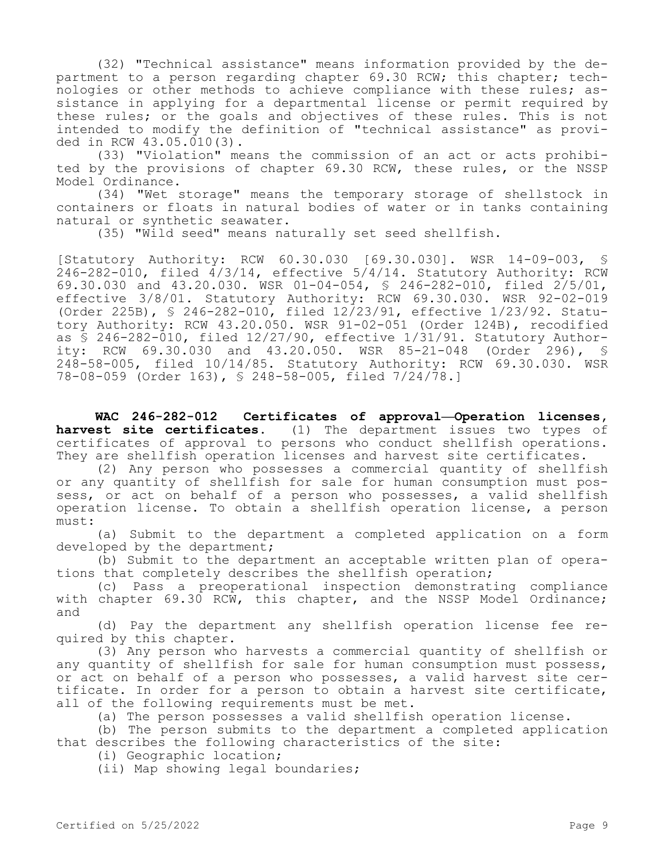(32) "Technical assistance" means information provided by the department to a person regarding chapter 69.30 RCW; this chapter; technologies or other methods to achieve compliance with these rules; assistance in applying for a departmental license or permit required by these rules; or the goals and objectives of these rules. This is not intended to modify the definition of "technical assistance" as provided in RCW 43.05.010(3).

(33) "Violation" means the commission of an act or acts prohibited by the provisions of chapter 69.30 RCW, these rules, or the NSSP Model Ordinance.

(34) "Wet storage" means the temporary storage of shellstock in containers or floats in natural bodies of water or in tanks containing natural or synthetic seawater.

(35) "Wild seed" means naturally set seed shellfish.

[Statutory Authority: RCW 60.30.030 [69.30.030]. WSR 14-09-003, §  $246 - 282 - 010$ , filed  $4/3/14$ , effective  $5/4/14$ . Statutory Authority: RCW 69.30.030 and 43.20.030. WSR 01-04-054, § 246-282-010, filed 2/5/01, effective 3/8/01. Statutory Authority: RCW 69.30.030. WSR 92-02-019 (Order 225B), § 246-282-010, filed 12/23/91, effective 1/23/92. Statutory Authority: RCW 43.20.050. WSR 91-02-051 (Order 124B), recodified as § 246-282-010, filed 12/27/90, effective 1/31/91. Statutory Authority: RCW 69.30.030 and 43.20.050. WSR 85-21-048 (Order 296), § 248-58-005, filed 10/14/85. Statutory Authority: RCW 69.30.030. WSR 78-08-059 (Order 163), § 248-58-005, filed 7/24/78.]

**WAC 246-282-012 Certificates of approval—Operation licenses, harvest site certificates.** (1) The department issues two types of certificates of approval to persons who conduct shellfish operations. They are shellfish operation licenses and harvest site certificates.

(2) Any person who possesses a commercial quantity of shellfish or any quantity of shellfish for sale for human consumption must possess, or act on behalf of a person who possesses, a valid shellfish operation license. To obtain a shellfish operation license, a person must:

(a) Submit to the department a completed application on a form developed by the department;

(b) Submit to the department an acceptable written plan of operations that completely describes the shellfish operation;

(c) Pass a preoperational inspection demonstrating compliance with chapter 69.30 RCW, this chapter, and the NSSP Model Ordinance; and

(d) Pay the department any shellfish operation license fee required by this chapter.

(3) Any person who harvests a commercial quantity of shellfish or any quantity of shellfish for sale for human consumption must possess, or act on behalf of a person who possesses, a valid harvest site certificate. In order for a person to obtain a harvest site certificate, all of the following requirements must be met.

(a) The person possesses a valid shellfish operation license.

(b) The person submits to the department a completed application that describes the following characteristics of the site:

(i) Geographic location;

(ii) Map showing legal boundaries;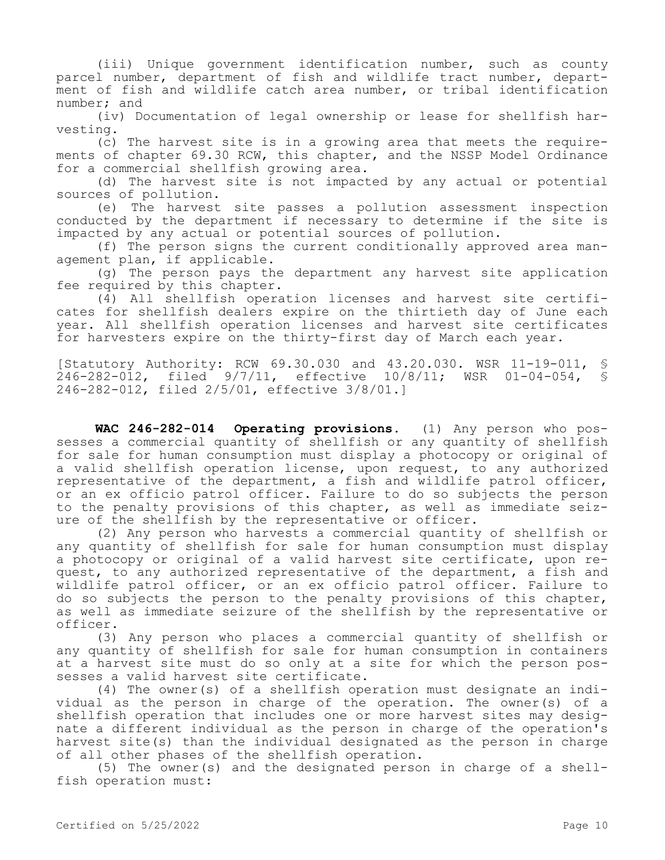(iii) Unique government identification number, such as county parcel number, department of fish and wildlife tract number, department of fish and wildlife catch area number, or tribal identification number; and

(iv) Documentation of legal ownership or lease for shellfish harvesting.

(c) The harvest site is in a growing area that meets the requirements of chapter 69.30 RCW, this chapter, and the NSSP Model Ordinance for a commercial shellfish growing area.

(d) The harvest site is not impacted by any actual or potential sources of pollution.

(e) The harvest site passes a pollution assessment inspection conducted by the department if necessary to determine if the site is impacted by any actual or potential sources of pollution.

(f) The person signs the current conditionally approved area management plan, if applicable.

(g) The person pays the department any harvest site application fee required by this chapter.

(4) All shellfish operation licenses and harvest site certificates for shellfish dealers expire on the thirtieth day of June each year. All shellfish operation licenses and harvest site certificates for harvesters expire on the thirty-first day of March each year.

[Statutory Authority: RCW 69.30.030 and 43.20.030. WSR 11-19-011, § 246-282-012, filed 9/7/11, effective 10/8/11; WSR 01-04-054, § 246-282-012, filed 2/5/01, effective 3/8/01.]

**WAC 246-282-014 Operating provisions.** (1) Any person who possesses a commercial quantity of shellfish or any quantity of shellfish for sale for human consumption must display a photocopy or original of a valid shellfish operation license, upon request, to any authorized representative of the department, a fish and wildlife patrol officer, or an ex officio patrol officer. Failure to do so subjects the person to the penalty provisions of this chapter, as well as immediate seizure of the shellfish by the representative or officer.

(2) Any person who harvests a commercial quantity of shellfish or any quantity of shellfish for sale for human consumption must display a photocopy or original of a valid harvest site certificate, upon request, to any authorized representative of the department, a fish and wildlife patrol officer, or an ex officio patrol officer. Failure to do so subjects the person to the penalty provisions of this chapter, as well as immediate seizure of the shellfish by the representative or officer.

(3) Any person who places a commercial quantity of shellfish or any quantity of shellfish for sale for human consumption in containers at a harvest site must do so only at a site for which the person possesses a valid harvest site certificate.

(4) The owner(s) of a shellfish operation must designate an individual as the person in charge of the operation. The owner(s) of a shellfish operation that includes one or more harvest sites may designate a different individual as the person in charge of the operation's harvest site(s) than the individual designated as the person in charge of all other phases of the shellfish operation.

(5) The owner(s) and the designated person in charge of a shellfish operation must: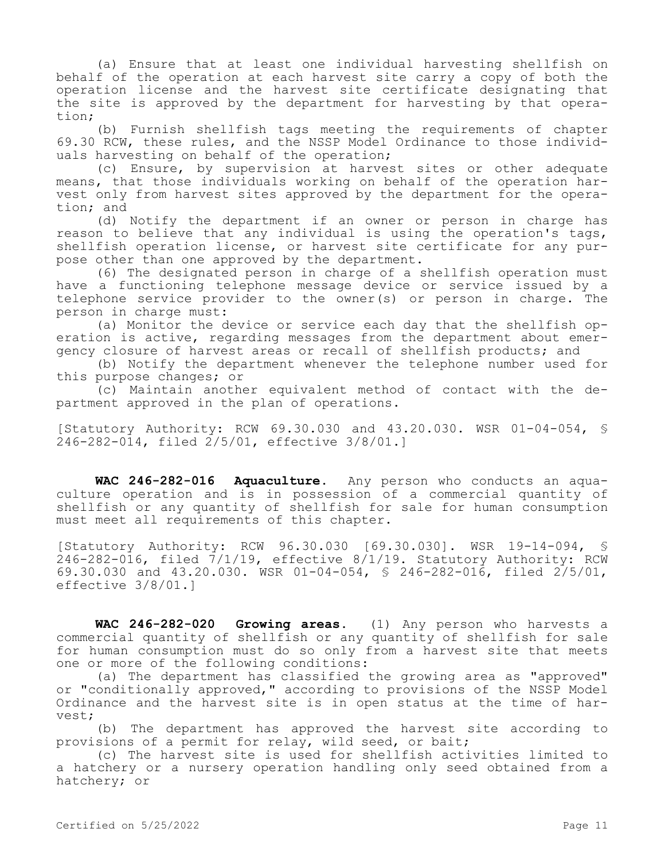(a) Ensure that at least one individual harvesting shellfish on behalf of the operation at each harvest site carry a copy of both the operation license and the harvest site certificate designating that the site is approved by the department for harvesting by that operation;

(b) Furnish shellfish tags meeting the requirements of chapter 69.30 RCW, these rules, and the NSSP Model Ordinance to those individuals harvesting on behalf of the operation;

(c) Ensure, by supervision at harvest sites or other adequate means, that those individuals working on behalf of the operation harvest only from harvest sites approved by the department for the operation; and

(d) Notify the department if an owner or person in charge has reason to believe that any individual is using the operation's tags, shellfish operation license, or harvest site certificate for any purpose other than one approved by the department.

(6) The designated person in charge of a shellfish operation must have a functioning telephone message device or service issued by a telephone service provider to the owner(s) or person in charge. The person in charge must:

(a) Monitor the device or service each day that the shellfish operation is active, regarding messages from the department about emergency closure of harvest areas or recall of shellfish products; and

(b) Notify the department whenever the telephone number used for this purpose changes; or

(c) Maintain another equivalent method of contact with the department approved in the plan of operations.

[Statutory Authority: RCW 69.30.030 and 43.20.030. WSR 01-04-054, § 246-282-014, filed 2/5/01, effective 3/8/01.]

**WAC 246-282-016 Aquaculture.** Any person who conducts an aquaculture operation and is in possession of a commercial quantity of shellfish or any quantity of shellfish for sale for human consumption must meet all requirements of this chapter.

[Statutory Authority: RCW 96.30.030 [69.30.030]. WSR 19-14-094, § 246-282-016, filed 7/1/19, effective 8/1/19. Statutory Authority: RCW 69.30.030 and 43.20.030. WSR 01-04-054, § 246-282-016, filed 2/5/01, effective 3/8/01.]

**WAC 246-282-020 Growing areas.** (1) Any person who harvests a commercial quantity of shellfish or any quantity of shellfish for sale for human consumption must do so only from a harvest site that meets one or more of the following conditions:

(a) The department has classified the growing area as "approved" or "conditionally approved," according to provisions of the NSSP Model Ordinance and the harvest site is in open status at the time of harvest;

(b) The department has approved the harvest site according to provisions of a permit for relay, wild seed, or bait;

(c) The harvest site is used for shellfish activities limited to a hatchery or a nursery operation handling only seed obtained from a hatchery; or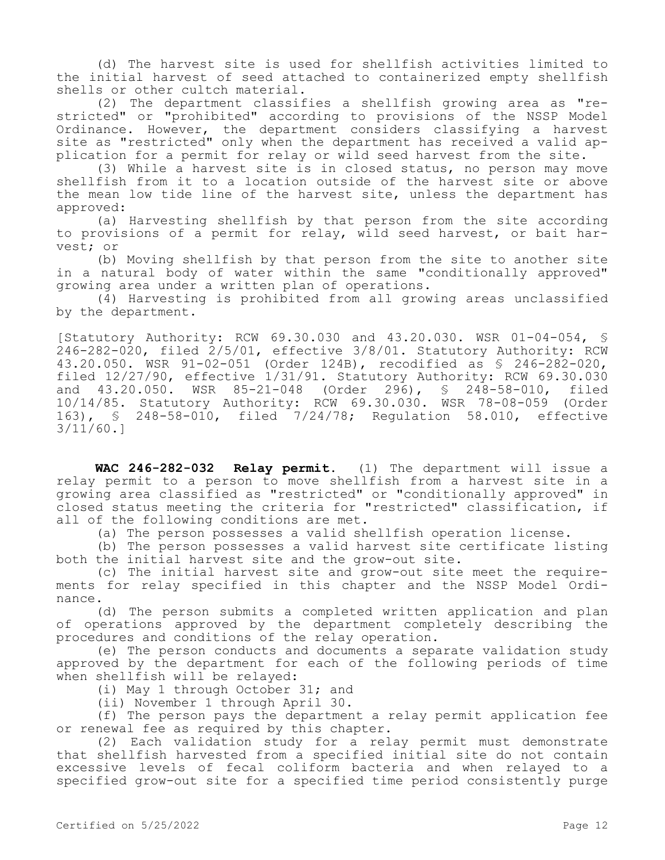(d) The harvest site is used for shellfish activities limited to the initial harvest of seed attached to containerized empty shellfish shells or other cultch material.

(2) The department classifies a shellfish growing area as "restricted" or "prohibited" according to provisions of the NSSP Model Ordinance. However, the department considers classifying a harvest site as "restricted" only when the department has received a valid application for a permit for relay or wild seed harvest from the site.

(3) While a harvest site is in closed status, no person may move shellfish from it to a location outside of the harvest site or above the mean low tide line of the harvest site, unless the department has approved:

(a) Harvesting shellfish by that person from the site according to provisions of a permit for relay, wild seed harvest, or bait harvest; or

(b) Moving shellfish by that person from the site to another site in a natural body of water within the same "conditionally approved" growing area under a written plan of operations.

(4) Harvesting is prohibited from all growing areas unclassified by the department.

[Statutory Authority: RCW 69.30.030 and 43.20.030. WSR 01-04-054, § 246-282-020, filed 2/5/01, effective 3/8/01. Statutory Authority: RCW 43.20.050. WSR 91-02-051 (Order 124B), recodified as § 246-282-020, filed 12/27/90, effective 1/31/91. Statutory Authority: RCW 69.30.030 and 43.20.050. WSR 85-21-048 (Order 296), § 248-58-010, filed 10/14/85. Statutory Authority: RCW 69.30.030. WSR 78-08-059 (Order 163), § 248-58-010, filed 7/24/78; Regulation 58.010, effective 3/11/60.]

**WAC 246-282-032 Relay permit.** (1) The department will issue a relay permit to a person to move shellfish from a harvest site in a growing area classified as "restricted" or "conditionally approved" in closed status meeting the criteria for "restricted" classification, if all of the following conditions are met.

(a) The person possesses a valid shellfish operation license.

(b) The person possesses a valid harvest site certificate listing both the initial harvest site and the grow-out site.

(c) The initial harvest site and grow-out site meet the requirements for relay specified in this chapter and the NSSP Model Ordinance.

(d) The person submits a completed written application and plan of operations approved by the department completely describing the procedures and conditions of the relay operation.

(e) The person conducts and documents a separate validation study approved by the department for each of the following periods of time when shellfish will be relayed:

(i) May 1 through October 31; and

(ii) November 1 through April 30.

(f) The person pays the department a relay permit application fee or renewal fee as required by this chapter.

(2) Each validation study for a relay permit must demonstrate that shellfish harvested from a specified initial site do not contain excessive levels of fecal coliform bacteria and when relayed to a specified grow-out site for a specified time period consistently purge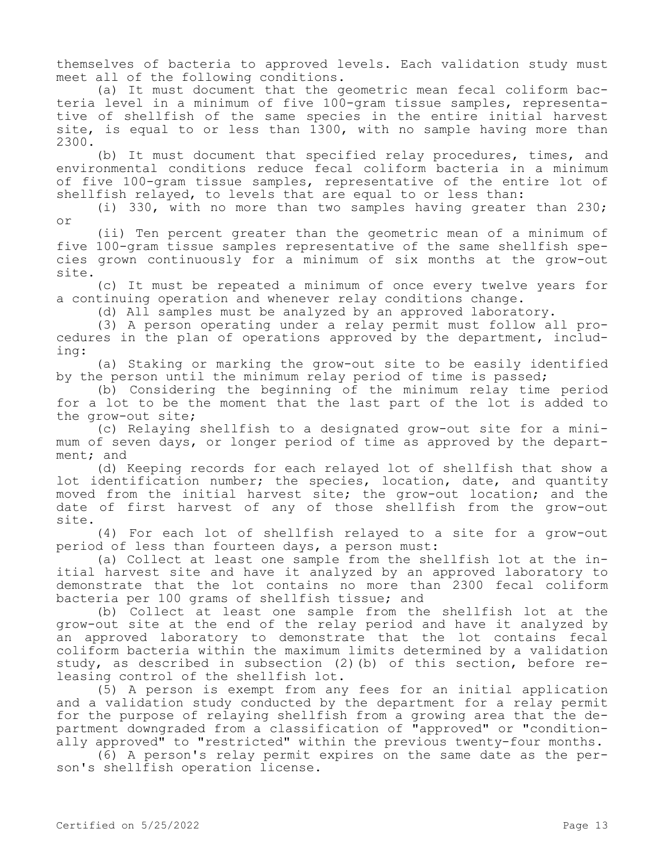themselves of bacteria to approved levels. Each validation study must meet all of the following conditions.

(a) It must document that the geometric mean fecal coliform bacteria level in a minimum of five 100-gram tissue samples, representative of shellfish of the same species in the entire initial harvest site, is equal to or less than 1300, with no sample having more than 2300.

(b) It must document that specified relay procedures, times, and environmental conditions reduce fecal coliform bacteria in a minimum of five 100-gram tissue samples, representative of the entire lot of shellfish relayed, to levels that are equal to or less than:

(i) 330, with no more than two samples having greater than 230; or

(ii) Ten percent greater than the geometric mean of a minimum of five 100-gram tissue samples representative of the same shellfish species grown continuously for a minimum of six months at the grow-out site.

(c) It must be repeated a minimum of once every twelve years for a continuing operation and whenever relay conditions change.

(d) All samples must be analyzed by an approved laboratory.

(3) A person operating under a relay permit must follow all procedures in the plan of operations approved by the department, including:

(a) Staking or marking the grow-out site to be easily identified by the person until the minimum relay period of time is passed;

(b) Considering the beginning of the minimum relay time period for a lot to be the moment that the last part of the lot is added to the grow-out site;

(c) Relaying shellfish to a designated grow-out site for a minimum of seven days, or longer period of time as approved by the department; and

(d) Keeping records for each relayed lot of shellfish that show a lot identification number; the species, location, date, and quantity moved from the initial harvest site; the grow-out location; and the date of first harvest of any of those shellfish from the grow-out site.

(4) For each lot of shellfish relayed to a site for a grow-out period of less than fourteen days, a person must:

(a) Collect at least one sample from the shellfish lot at the initial harvest site and have it analyzed by an approved laboratory to demonstrate that the lot contains no more than 2300 fecal coliform bacteria per 100 grams of shellfish tissue; and

(b) Collect at least one sample from the shellfish lot at the grow-out site at the end of the relay period and have it analyzed by an approved laboratory to demonstrate that the lot contains fecal coliform bacteria within the maximum limits determined by a validation study, as described in subsection (2)(b) of this section, before releasing control of the shellfish lot.

(5) A person is exempt from any fees for an initial application and a validation study conducted by the department for a relay permit for the purpose of relaying shellfish from a growing area that the department downgraded from a classification of "approved" or "conditionally approved" to "restricted" within the previous twenty-four months.

(6) A person's relay permit expires on the same date as the person's shellfish operation license.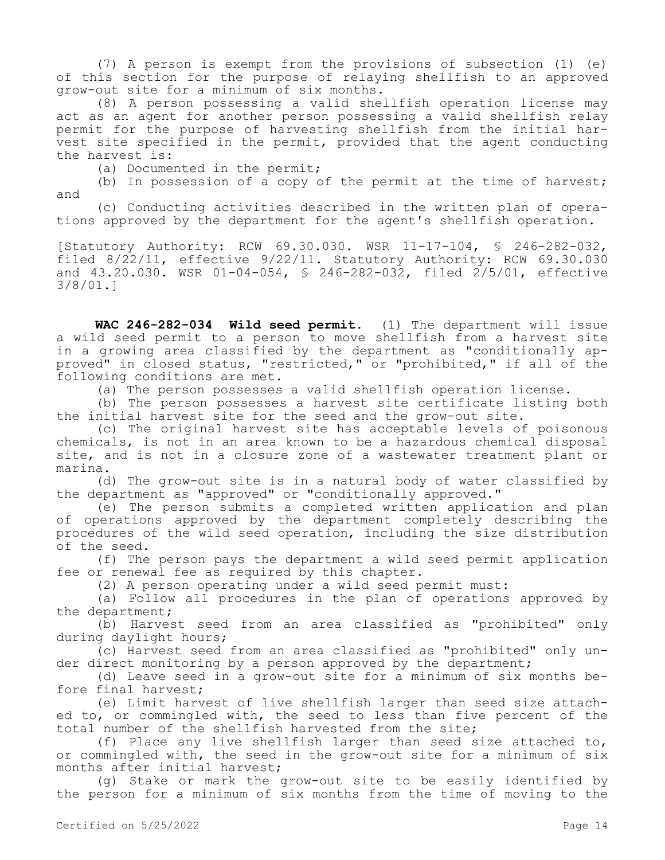(7) A person is exempt from the provisions of subsection (1) (e) of this section for the purpose of relaying shellfish to an approved grow-out site for a minimum of six months.

(8) A person possessing a valid shellfish operation license may act as an agent for another person possessing a valid shellfish relay permit for the purpose of harvesting shellfish from the initial harvest site specified in the permit, provided that the agent conducting the harvest is:

(a) Documented in the permit;

(b) In possession of a copy of the permit at the time of harvest; and

(c) Conducting activities described in the written plan of operations approved by the department for the agent's shellfish operation.

[Statutory Authority: RCW 69.30.030. WSR 11-17-104, § 246-282-032, filed 8/22/11, effective 9/22/11. Statutory Authority: RCW 69.30.030 and 43.20.030. WSR 01-04-054, § 246-282-032, filed 2/5/01, effective 3/8/01.]

**WAC 246-282-034 Wild seed permit.** (1) The department will issue a wild seed permit to a person to move shellfish from a harvest site in a growing area classified by the department as "conditionally approved" in closed status, "restricted," or "prohibited," if all of the following conditions are met.

(a) The person possesses a valid shellfish operation license.

(b) The person possesses a harvest site certificate listing both the initial harvest site for the seed and the grow-out site.

(c) The original harvest site has acceptable levels of poisonous chemicals, is not in an area known to be a hazardous chemical disposal site, and is not in a closure zone of a wastewater treatment plant or marina.

(d) The grow-out site is in a natural body of water classified by the department as "approved" or "conditionally approved."

(e) The person submits a completed written application and plan of operations approved by the department completely describing the procedures of the wild seed operation, including the size distribution of the seed.

(f) The person pays the department a wild seed permit application fee or renewal fee as required by this chapter.

(2) A person operating under a wild seed permit must:

(a) Follow all procedures in the plan of operations approved by the department;

(b) Harvest seed from an area classified as "prohibited" only during daylight hours;

(c) Harvest seed from an area classified as "prohibited" only under direct monitoring by a person approved by the department;

(d) Leave seed in a grow-out site for a minimum of six months before final harvest;

(e) Limit harvest of live shellfish larger than seed size attached to, or commingled with, the seed to less than five percent of the total number of the shellfish harvested from the site;

(f) Place any live shellfish larger than seed size attached to, or commingled with, the seed in the grow-out site for a minimum of six months after initial harvest;

(g) Stake or mark the grow-out site to be easily identified by the person for a minimum of six months from the time of moving to the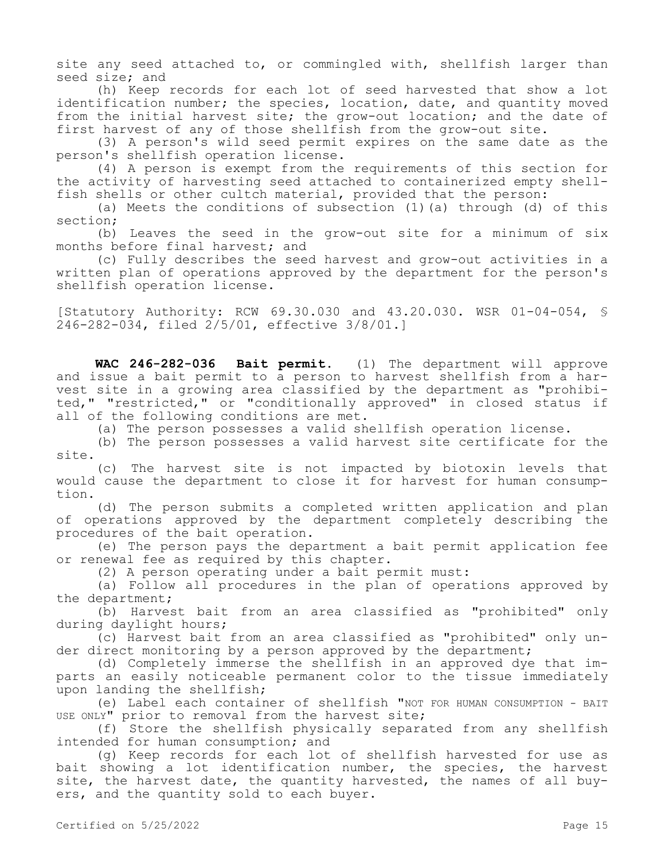site any seed attached to, or commingled with, shellfish larger than seed size; and

(h) Keep records for each lot of seed harvested that show a lot identification number; the species, location, date, and quantity moved from the initial harvest site; the grow-out location; and the date of first harvest of any of those shellfish from the grow-out site.

(3) A person's wild seed permit expires on the same date as the person's shellfish operation license.

(4) A person is exempt from the requirements of this section for the activity of harvesting seed attached to containerized empty shellfish shells or other cultch material, provided that the person:

(a) Meets the conditions of subsection (1)(a) through (d) of this section;

(b) Leaves the seed in the grow-out site for a minimum of six months before final harvest; and

(c) Fully describes the seed harvest and grow-out activities in a written plan of operations approved by the department for the person's shellfish operation license.

[Statutory Authority: RCW 69.30.030 and 43.20.030. WSR 01-04-054, § 246-282-034, filed 2/5/01, effective 3/8/01.]

**WAC 246-282-036 Bait permit.** (1) The department will approve and issue a bait permit to a person to harvest shellfish from a harvest site in a growing area classified by the department as "prohibited," "restricted," or "conditionally approved" in closed status if all of the following conditions are met.

(a) The person possesses a valid shellfish operation license.

(b) The person possesses a valid harvest site certificate for the site.

(c) The harvest site is not impacted by biotoxin levels that would cause the department to close it for harvest for human consumption.

(d) The person submits a completed written application and plan of operations approved by the department completely describing the procedures of the bait operation.

(e) The person pays the department a bait permit application fee or renewal fee as required by this chapter.

(2) A person operating under a bait permit must:

(a) Follow all procedures in the plan of operations approved by the department;

(b) Harvest bait from an area classified as "prohibited" only during daylight hours;

(c) Harvest bait from an area classified as "prohibited" only under direct monitoring by a person approved by the department;

(d) Completely immerse the shellfish in an approved dye that imparts an easily noticeable permanent color to the tissue immediately upon landing the shellfish;

(e) Label each container of shellfish "NOT FOR HUMAN CONSUMPTION - BAIT USE ONLY" prior to removal from the harvest site;

(f) Store the shellfish physically separated from any shellfish intended for human consumption; and

(g) Keep records for each lot of shellfish harvested for use as bait showing a lot identification number, the species, the harvest site, the harvest date, the quantity harvested, the names of all buyers, and the quantity sold to each buyer.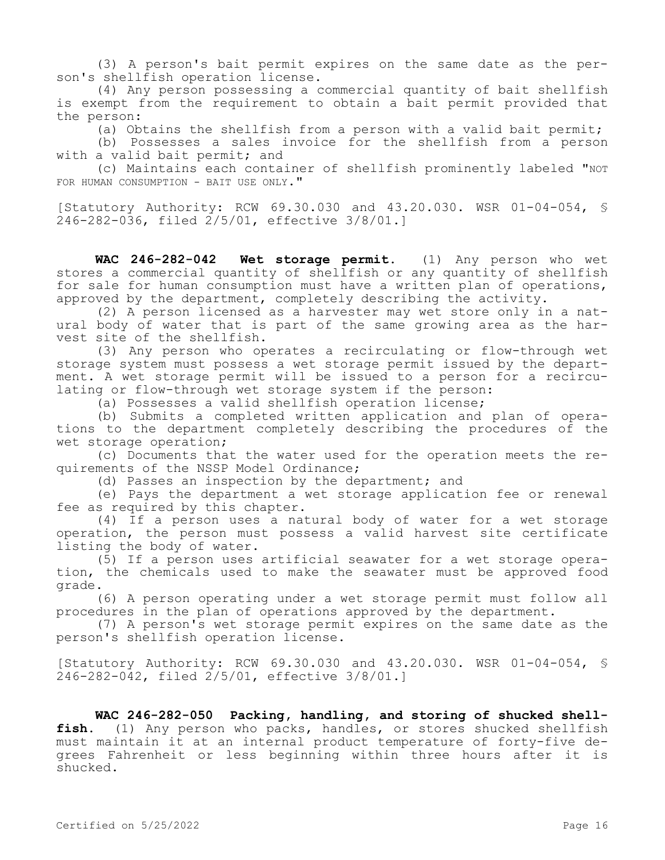(3) A person's bait permit expires on the same date as the person's shellfish operation license.

(4) Any person possessing a commercial quantity of bait shellfish is exempt from the requirement to obtain a bait permit provided that the person:

(a) Obtains the shellfish from a person with a valid bait permit;

(b) Possesses a sales invoice for the shellfish from a person with a valid bait permit; and

(c) Maintains each container of shellfish prominently labeled "NOT FOR HUMAN CONSUMPTION - BAIT USE ONLY."

[Statutory Authority: RCW 69.30.030 and 43.20.030. WSR 01-04-054, §  $246 - 282 - 036$ , filed  $2/5/01$ , effective  $3/8/01$ .]

**WAC 246-282-042 Wet storage permit.** (1) Any person who wet stores a commercial quantity of shellfish or any quantity of shellfish for sale for human consumption must have a written plan of operations, approved by the department, completely describing the activity.

(2) A person licensed as a harvester may wet store only in a natural body of water that is part of the same growing area as the harvest site of the shellfish.

(3) Any person who operates a recirculating or flow-through wet storage system must possess a wet storage permit issued by the department. A wet storage permit will be issued to a person for a recirculating or flow-through wet storage system if the person:

(a) Possesses a valid shellfish operation license;

(b) Submits a completed written application and plan of operations to the department completely describing the procedures of the wet storage operation;

(c) Documents that the water used for the operation meets the requirements of the NSSP Model Ordinance;

(d) Passes an inspection by the department; and

(e) Pays the department a wet storage application fee or renewal fee as required by this chapter.

(4) If a person uses a natural body of water for a wet storage operation, the person must possess a valid harvest site certificate listing the body of water.

(5) If a person uses artificial seawater for a wet storage operation, the chemicals used to make the seawater must be approved food grade.

(6) A person operating under a wet storage permit must follow all procedures in the plan of operations approved by the department.

(7) A person's wet storage permit expires on the same date as the person's shellfish operation license.

[Statutory Authority: RCW 69.30.030 and 43.20.030. WSR 01-04-054, § 246-282-042, filed 2/5/01, effective 3/8/01.]

**WAC 246-282-050 Packing, handling, and storing of shucked shellfish.** (1) Any person who packs, handles, or stores shucked shellfish must maintain it at an internal product temperature of forty-five degrees Fahrenheit or less beginning within three hours after it is shucked.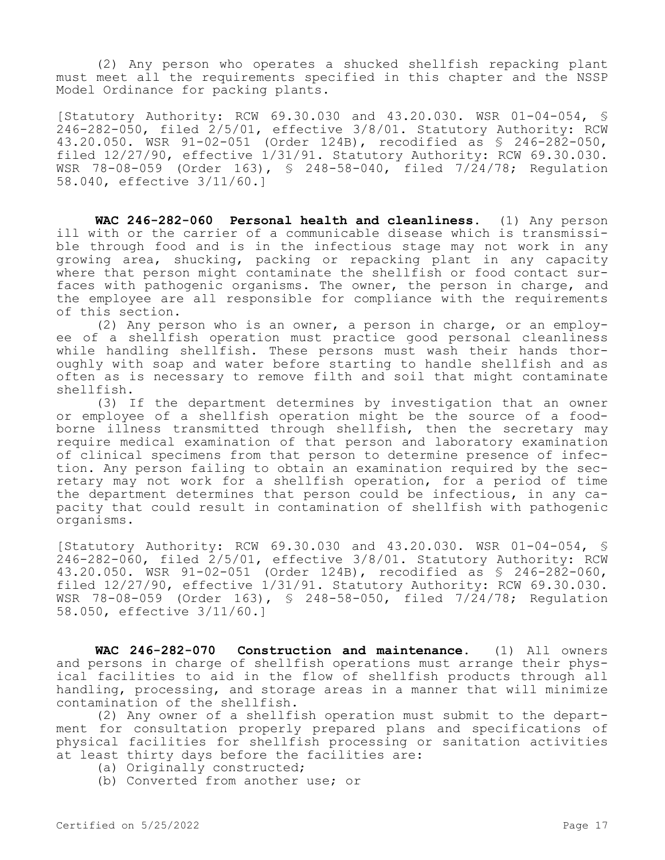(2) Any person who operates a shucked shellfish repacking plant must meet all the requirements specified in this chapter and the NSSP Model Ordinance for packing plants.

[Statutory Authority: RCW 69.30.030 and 43.20.030. WSR 01-04-054, § 246-282-050, filed 2/5/01, effective 3/8/01. Statutory Authority: RCW 43.20.050. WSR 91-02-051 (Order 124B), recodified as § 246-282-050, filed 12/27/90, effective 1/31/91. Statutory Authority: RCW 69.30.030. WSR 78-08-059 (Order 163), § 248-58-040, filed 7/24/78; Regulation 58.040, effective 3/11/60.]

**WAC 246-282-060 Personal health and cleanliness.** (1) Any person ill with or the carrier of a communicable disease which is transmissible through food and is in the infectious stage may not work in any growing area, shucking, packing or repacking plant in any capacity where that person might contaminate the shellfish or food contact surfaces with pathogenic organisms. The owner, the person in charge, and the employee are all responsible for compliance with the requirements of this section.

(2) Any person who is an owner, a person in charge, or an employee of a shellfish operation must practice good personal cleanliness while handling shellfish. These persons must wash their hands thoroughly with soap and water before starting to handle shellfish and as often as is necessary to remove filth and soil that might contaminate shellfish.

(3) If the department determines by investigation that an owner or employee of a shellfish operation might be the source of a foodborne illness transmitted through shellfish, then the secretary may require medical examination of that person and laboratory examination of clinical specimens from that person to determine presence of infection. Any person failing to obtain an examination required by the secretary may not work for a shellfish operation, for a period of time the department determines that person could be infectious, in any capacity that could result in contamination of shellfish with pathogenic organisms.

[Statutory Authority: RCW 69.30.030 and 43.20.030. WSR 01-04-054, § 246-282-060, filed 2/5/01, effective 3/8/01. Statutory Authority: RCW 43.20.050. WSR 91-02-051 (Order 124B), recodified as § 246-282-060, filed 12/27/90, effective 1/31/91. Statutory Authority: RCW 69.30.030. WSR 78-08-059 (Order 163), § 248-58-050, filed 7/24/78; Regulation 58.050, effective 3/11/60.]

**WAC 246-282-070 Construction and maintenance.** (1) All owners and persons in charge of shellfish operations must arrange their physical facilities to aid in the flow of shellfish products through all handling, processing, and storage areas in a manner that will minimize contamination of the shellfish.

(2) Any owner of a shellfish operation must submit to the department for consultation properly prepared plans and specifications of physical facilities for shellfish processing or sanitation activities at least thirty days before the facilities are:

- (a) Originally constructed;
- (b) Converted from another use; or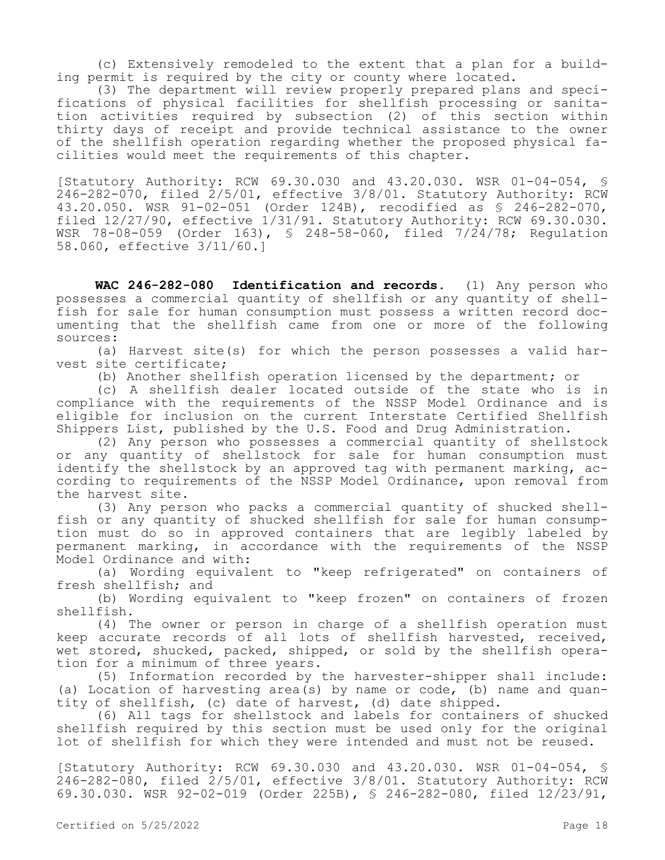(c) Extensively remodeled to the extent that a plan for a building permit is required by the city or county where located.

(3) The department will review properly prepared plans and specifications of physical facilities for shellfish processing or sanitation activities required by subsection (2) of this section within thirty days of receipt and provide technical assistance to the owner of the shellfish operation regarding whether the proposed physical facilities would meet the requirements of this chapter.

[Statutory Authority: RCW 69.30.030 and 43.20.030. WSR 01-04-054, § 246-282-070, filed 2/5/01, effective 3/8/01. Statutory Authority: RCW 43.20.050. WSR 91-02-051 (Order 124B), recodified as § 246-282-070, filed 12/27/90, effective 1/31/91. Statutory Authority: RCW 69.30.030. WSR 78-08-059 (Order 163), § 248-58-060, filed 7/24/78; Regulation 58.060, effective 3/11/60.]

**WAC 246-282-080 Identification and records.** (1) Any person who possesses a commercial quantity of shellfish or any quantity of shellfish for sale for human consumption must possess a written record documenting that the shellfish came from one or more of the following sources:

(a) Harvest site(s) for which the person possesses a valid harvest site certificate;

(b) Another shellfish operation licensed by the department; or

(c) A shellfish dealer located outside of the state who is in compliance with the requirements of the NSSP Model Ordinance and is eligible for inclusion on the current Interstate Certified Shellfish Shippers List, published by the U.S. Food and Drug Administration.

(2) Any person who possesses a commercial quantity of shellstock or any quantity of shellstock for sale for human consumption must identify the shellstock by an approved tag with permanent marking, according to requirements of the NSSP Model Ordinance, upon removal from the harvest site.

(3) Any person who packs a commercial quantity of shucked shellfish or any quantity of shucked shellfish for sale for human consumption must do so in approved containers that are legibly labeled by permanent marking, in accordance with the requirements of the NSSP Model Ordinance and with:

(a) Wording equivalent to "keep refrigerated" on containers of fresh shellfish; and

(b) Wording equivalent to "keep frozen" on containers of frozen shellfish.

(4) The owner or person in charge of a shellfish operation must keep accurate records of all lots of shellfish harvested, received, wet stored, shucked, packed, shipped, or sold by the shellfish operation for a minimum of three years.

(5) Information recorded by the harvester-shipper shall include: (a) Location of harvesting area(s) by name or code, (b) name and quantity of shellfish, (c) date of harvest, (d) date shipped.

(6) All tags for shellstock and labels for containers of shucked shellfish required by this section must be used only for the original lot of shellfish for which they were intended and must not be reused.

[Statutory Authority: RCW 69.30.030 and 43.20.030. WSR 01-04-054, § 246-282-080, filed 2/5/01, effective 3/8/01. Statutory Authority: RCW 69.30.030. WSR 92-02-019 (Order 225B), § 246-282-080, filed 12/23/91,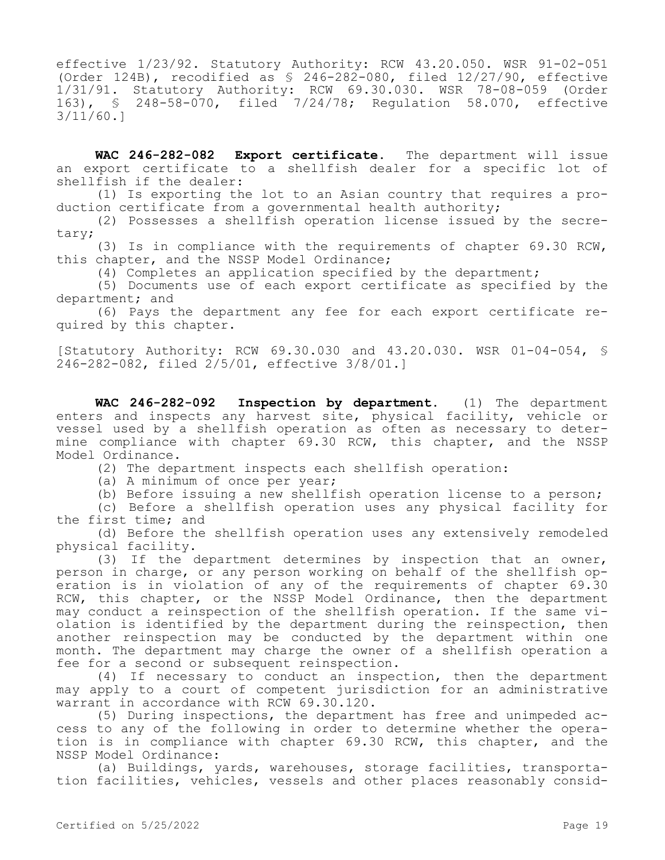effective 1/23/92. Statutory Authority: RCW 43.20.050. WSR 91-02-051 (Order 124B), recodified as  $\frac{124B}{120}$ ,  $\frac{124B}{120}$ ,  $\frac{124B}{120}$ ,  $\frac{124B}{120}$ 1/31/91. Statutory Authority: RCW 69.30.030. WSR 78-08-059 (Order 163), § 248-58-070, filed 7/24/78; Regulation 58.070, effective 3/11/60.]

**WAC 246-282-082 Export certificate.** The department will issue an export certificate to a shellfish dealer for a specific lot of shellfish if the dealer:

(1) Is exporting the lot to an Asian country that requires a production certificate from a governmental health authority;

(2) Possesses a shellfish operation license issued by the secretary;

(3) Is in compliance with the requirements of chapter 69.30 RCW, this chapter, and the NSSP Model Ordinance;

(4) Completes an application specified by the department;

(5) Documents use of each export certificate as specified by the department; and

(6) Pays the department any fee for each export certificate required by this chapter.

[Statutory Authority: RCW 69.30.030 and 43.20.030. WSR 01-04-054, § 246-282-082, filed 2/5/01, effective 3/8/01.]

**WAC 246-282-092 Inspection by department.** (1) The department enters and inspects any harvest site, physical facility, vehicle or vessel used by a shellfish operation as often as necessary to determine compliance with chapter 69.30 RCW, this chapter, and the NSSP Model Ordinance.

(2) The department inspects each shellfish operation:

(a) A minimum of once per year;

(b) Before issuing a new shellfish operation license to a person;

(c) Before a shellfish operation uses any physical facility for the first time; and

(d) Before the shellfish operation uses any extensively remodeled physical facility.

(3) If the department determines by inspection that an owner, person in charge, or any person working on behalf of the shellfish operation is in violation of any of the requirements of chapter 69.30 RCW, this chapter, or the NSSP Model Ordinance, then the department may conduct a reinspection of the shellfish operation. If the same violation is identified by the department during the reinspection, then another reinspection may be conducted by the department within one month. The department may charge the owner of a shellfish operation a fee for a second or subsequent reinspection.

(4) If necessary to conduct an inspection, then the department may apply to a court of competent jurisdiction for an administrative warrant in accordance with RCW 69.30.120.

(5) During inspections, the department has free and unimpeded access to any of the following in order to determine whether the operation is in compliance with chapter 69.30 RCW, this chapter, and the NSSP Model Ordinance:

(a) Buildings, yards, warehouses, storage facilities, transportation facilities, vehicles, vessels and other places reasonably consid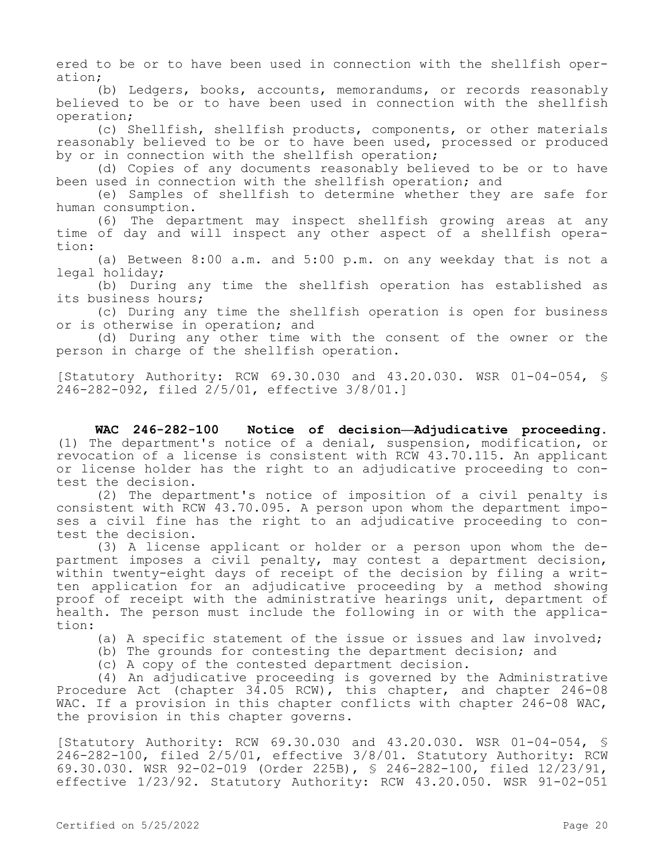ered to be or to have been used in connection with the shellfish operation;

(b) Ledgers, books, accounts, memorandums, or records reasonably believed to be or to have been used in connection with the shellfish operation;

(c) Shellfish, shellfish products, components, or other materials reasonably believed to be or to have been used, processed or produced by or in connection with the shellfish operation;

(d) Copies of any documents reasonably believed to be or to have been used in connection with the shellfish operation; and

(e) Samples of shellfish to determine whether they are safe for human consumption.

(6) The department may inspect shellfish growing areas at any time of day and will inspect any other aspect of a shellfish operation:

(a) Between 8:00 a.m. and 5:00 p.m. on any weekday that is not a legal holiday;

(b) During any time the shellfish operation has established as its business hours;

(c) During any time the shellfish operation is open for business or is otherwise in operation; and

(d) During any other time with the consent of the owner or the person in charge of the shellfish operation.

[Statutory Authority: RCW 69.30.030 and 43.20.030. WSR 01-04-054, § 246-282-092, filed 2/5/01, effective 3/8/01.]

**WAC 246-282-100 Notice of decision—Adjudicative proceeding.**  (1) The department's notice of a denial, suspension, modification, or revocation of a license is consistent with RCW 43.70.115. An applicant or license holder has the right to an adjudicative proceeding to contest the decision.

(2) The department's notice of imposition of a civil penalty is consistent with RCW 43.70.095. A person upon whom the department imposes a civil fine has the right to an adjudicative proceeding to contest the decision.

(3) A license applicant or holder or a person upon whom the department imposes a civil penalty, may contest a department decision, within twenty-eight days of receipt of the decision by filing a written application for an adjudicative proceeding by a method showing proof of receipt with the administrative hearings unit, department of health. The person must include the following in or with the application:

(a) A specific statement of the issue or issues and law involved;

(b) The grounds for contesting the department decision; and

(c) A copy of the contested department decision.

(4) An adjudicative proceeding is governed by the Administrative Procedure Act (chapter 34.05 RCW), this chapter, and chapter 246-08 WAC. If a provision in this chapter conflicts with chapter 246-08 WAC, the provision in this chapter governs.

[Statutory Authority: RCW 69.30.030 and 43.20.030. WSR 01-04-054, §  $246 - 282 - 100$ , filed  $2/5/01$ , effective  $3/8/01$ . Statutory Authority: RCW 69.30.030. WSR 92-02-019 (Order 225B), § 246-282-100, filed 12/23/91, effective 1/23/92. Statutory Authority: RCW 43.20.050. WSR 91-02-051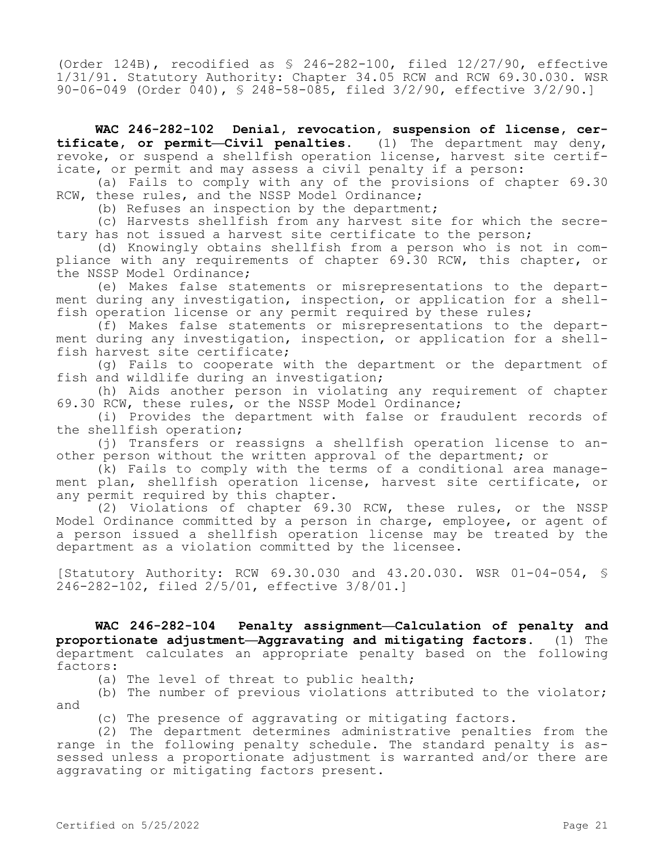(Order 124B), recodified as § 246-282-100, filed 12/27/90, effective 1/31/91. Statutory Authority: Chapter 34.05 RCW and RCW 69.30.030. WSR 90-06-049 (Order 040), § 248-58-085, filed 3/2/90, effective 3/2/90.]

**WAC 246-282-102 Denial, revocation, suspension of license, certificate, or permit—Civil penalties.** (1) The department may deny, revoke, or suspend a shellfish operation license, harvest site certificate, or permit and may assess a civil penalty if a person:

(a) Fails to comply with any of the provisions of chapter 69.30 RCW, these rules, and the NSSP Model Ordinance;

(b) Refuses an inspection by the department;

(c) Harvests shellfish from any harvest site for which the secretary has not issued a harvest site certificate to the person;

(d) Knowingly obtains shellfish from a person who is not in compliance with any requirements of chapter 69.30 RCW, this chapter, or the NSSP Model Ordinance;

(e) Makes false statements or misrepresentations to the department during any investigation, inspection, or application for a shellfish operation license or any permit required by these rules;

(f) Makes false statements or misrepresentations to the department during any investigation, inspection, or application for a shellfish harvest site certificate;

(g) Fails to cooperate with the department or the department of fish and wildlife during an investigation;

(h) Aids another person in violating any requirement of chapter 69.30 RCW, these rules, or the NSSP Model Ordinance;

(i) Provides the department with false or fraudulent records of the shellfish operation;

(j) Transfers or reassigns a shellfish operation license to another person without the written approval of the department; or

(k) Fails to comply with the terms of a conditional area management plan, shellfish operation license, harvest site certificate, or any permit required by this chapter.

(2) Violations of chapter 69.30 RCW, these rules, or the NSSP Model Ordinance committed by a person in charge, employee, or agent of a person issued a shellfish operation license may be treated by the department as a violation committed by the licensee.

[Statutory Authority: RCW 69.30.030 and 43.20.030. WSR 01-04-054, § 246-282-102, filed 2/5/01, effective 3/8/01.]

**WAC 246-282-104 Penalty assignment—Calculation of penalty and proportionate adjustment—Aggravating and mitigating factors.** (1) The department calculates an appropriate penalty based on the following factors:

(a) The level of threat to public health;

(b) The number of previous violations attributed to the violator; and

(c) The presence of aggravating or mitigating factors.

(2) The department determines administrative penalties from the range in the following penalty schedule. The standard penalty is assessed unless a proportionate adjustment is warranted and/or there are aggravating or mitigating factors present.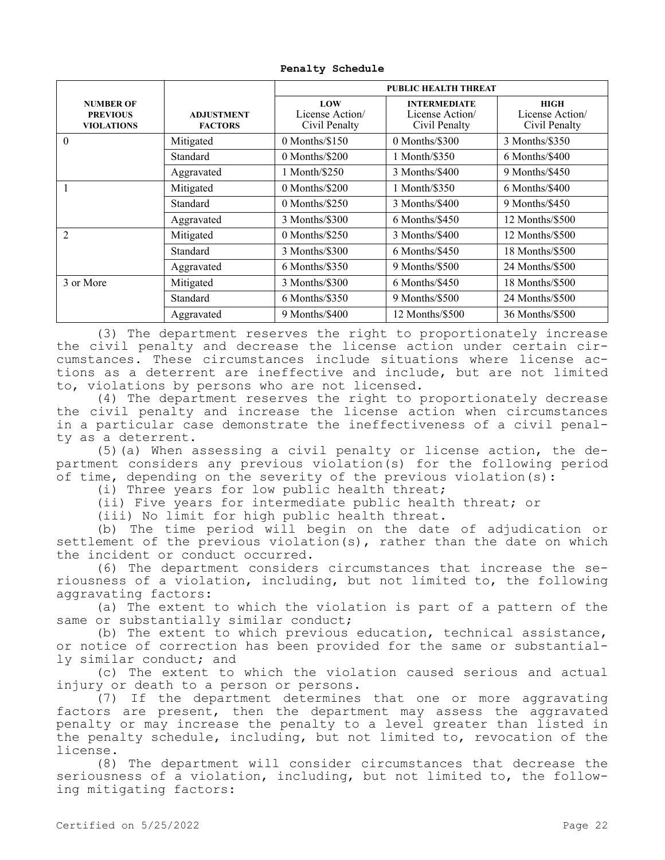|                                                          |                                     | <b>PUBLIC HEALTH THREAT</b>             |                                                        |                                                |
|----------------------------------------------------------|-------------------------------------|-----------------------------------------|--------------------------------------------------------|------------------------------------------------|
| <b>NUMBER OF</b><br><b>PREVIOUS</b><br><b>VIOLATIONS</b> | <b>ADJUSTMENT</b><br><b>FACTORS</b> | LOW<br>License Action/<br>Civil Penalty | <b>INTERMEDIATE</b><br>License Action<br>Civil Penalty | <b>HIGH</b><br>License Action<br>Civil Penalty |
| $\theta$                                                 | Mitigated                           | $0$ Months/ $$150$                      | 0 Months/\$300                                         | 3 Months/\$350                                 |
|                                                          | Standard                            | $0$ Months/\$200                        | 1 Month/\$350                                          | $6$ Months/\$400                               |
|                                                          | Aggravated                          | 1 Month/\$250                           | 3 Months/\$400                                         | 9 Months/\$450                                 |
|                                                          | Mitigated                           | $0$ Months/\$200                        | 1 Month/\$350                                          | 6 Months/\$400                                 |
|                                                          | Standard                            | $0$ Months/\$250                        | 3 Months/\$400                                         | 9 Months/\$450                                 |
|                                                          | Aggravated                          | 3 Months/\$300                          | $6$ Months/\$450                                       | 12 Months/\$500                                |
| 2                                                        | Mitigated                           | $0$ Months/\$250                        | 3 Months/\$400                                         | 12 Months/\$500                                |
|                                                          | Standard                            | 3 Months/\$300                          | $6$ Months/\$450                                       | 18 Months/\$500                                |
|                                                          | Aggravated                          | $6$ Months/\$350                        | 9 Months/\$500                                         | 24 Months/\$500                                |
| 3 or More                                                | Mitigated                           | 3 Months/\$300                          | $6$ Months/\$450                                       | 18 Months/\$500                                |
|                                                          | Standard                            | $6$ Months/\$350                        | 9 Months/\$500                                         | 24 Months/\$500                                |
|                                                          | Aggravated                          | 9 Months/\$400                          | 12 Months/\$500                                        | 36 Months/\$500                                |

**Penalty Schedule**

(3) The department reserves the right to proportionately increase the civil penalty and decrease the license action under certain circumstances. These circumstances include situations where license actions as a deterrent are ineffective and include, but are not limited to, violations by persons who are not licensed.

(4) The department reserves the right to proportionately decrease the civil penalty and increase the license action when circumstances in a particular case demonstrate the ineffectiveness of a civil penalty as a deterrent.

(5)(a) When assessing a civil penalty or license action, the department considers any previous violation(s) for the following period of time, depending on the severity of the previous violation(s):

(i) Three years for low public health threat;

(ii) Five years for intermediate public health threat; or

(iii) No limit for high public health threat.

(b) The time period will begin on the date of adjudication or settlement of the previous violation(s), rather than the date on which the incident or conduct occurred.

(6) The department considers circumstances that increase the seriousness of a violation, including, but not limited to, the following aggravating factors:

(a) The extent to which the violation is part of a pattern of the same or substantially similar conduct;

(b) The extent to which previous education, technical assistance, or notice of correction has been provided for the same or substantially similar conduct; and

(c) The extent to which the violation caused serious and actual injury or death to a person or persons.

(7) If the department determines that one or more aggravating factors are present, then the department may assess the aggravated penalty or may increase the penalty to a level greater than listed in the penalty schedule, including, but not limited to, revocation of the license.

(8) The department will consider circumstances that decrease the seriousness of a violation, including, but not limited to, the following mitigating factors: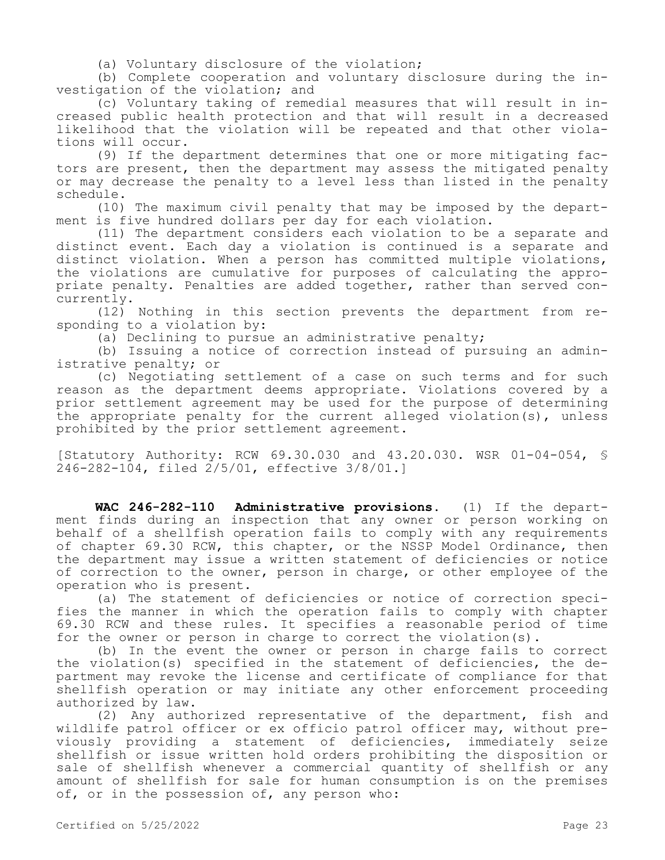(a) Voluntary disclosure of the violation;

(b) Complete cooperation and voluntary disclosure during the investigation of the violation; and

(c) Voluntary taking of remedial measures that will result in increased public health protection and that will result in a decreased likelihood that the violation will be repeated and that other violations will occur.

(9) If the department determines that one or more mitigating factors are present, then the department may assess the mitigated penalty or may decrease the penalty to a level less than listed in the penalty schedule.

(10) The maximum civil penalty that may be imposed by the department is five hundred dollars per day for each violation.

(11) The department considers each violation to be a separate and distinct event. Each day a violation is continued is a separate and distinct violation. When a person has committed multiple violations, the violations are cumulative for purposes of calculating the appropriate penalty. Penalties are added together, rather than served concurrently.

(12) Nothing in this section prevents the department from responding to a violation by:

(a) Declining to pursue an administrative penalty;

(b) Issuing a notice of correction instead of pursuing an administrative penalty; or

(c) Negotiating settlement of a case on such terms and for such reason as the department deems appropriate. Violations covered by a prior settlement agreement may be used for the purpose of determining the appropriate penalty for the current alleged violation(s), unless prohibited by the prior settlement agreement.

[Statutory Authority: RCW 69.30.030 and 43.20.030. WSR 01-04-054, § 246-282-104, filed 2/5/01, effective 3/8/01.]

**WAC 246-282-110 Administrative provisions.** (1) If the department finds during an inspection that any owner or person working on behalf of a shellfish operation fails to comply with any requirements of chapter 69.30 RCW, this chapter, or the NSSP Model Ordinance, then the department may issue a written statement of deficiencies or notice of correction to the owner, person in charge, or other employee of the operation who is present.

(a) The statement of deficiencies or notice of correction specifies the manner in which the operation fails to comply with chapter 69.30 RCW and these rules. It specifies a reasonable period of time for the owner or person in charge to correct the violation(s).

(b) In the event the owner or person in charge fails to correct the violation(s) specified in the statement of deficiencies, the department may revoke the license and certificate of compliance for that shellfish operation or may initiate any other enforcement proceeding authorized by law.

(2) Any authorized representative of the department, fish and wildlife patrol officer or ex officio patrol officer may, without previously providing a statement of deficiencies, immediately seize shellfish or issue written hold orders prohibiting the disposition or sale of shellfish whenever a commercial quantity of shellfish or any amount of shellfish for sale for human consumption is on the premises of, or in the possession of, any person who: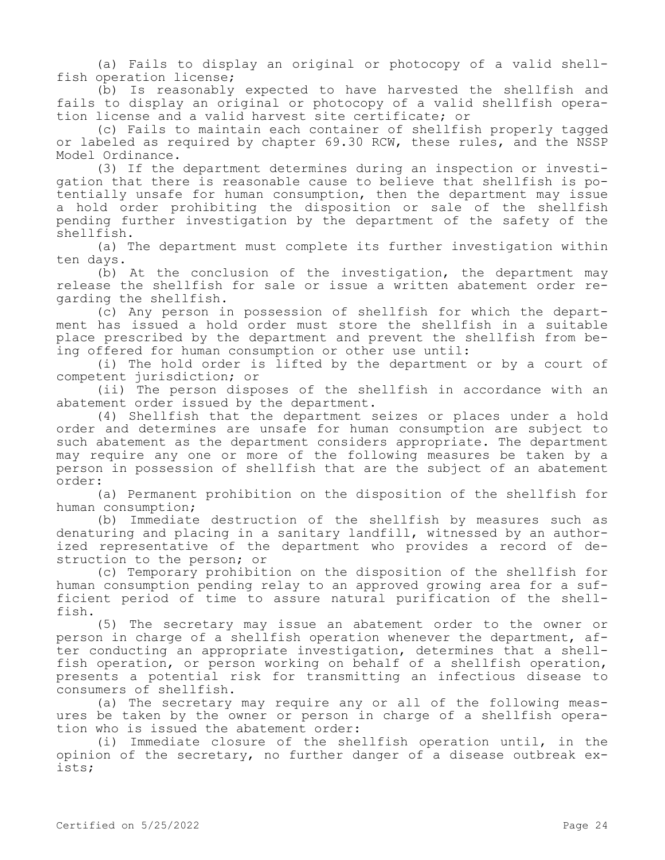(a) Fails to display an original or photocopy of a valid shellfish operation license;

(b) Is reasonably expected to have harvested the shellfish and fails to display an original or photocopy of a valid shellfish operation license and a valid harvest site certificate; or

(c) Fails to maintain each container of shellfish properly tagged or labeled as required by chapter 69.30 RCW, these rules, and the NSSP Model Ordinance.

(3) If the department determines during an inspection or investigation that there is reasonable cause to believe that shellfish is potentially unsafe for human consumption, then the department may issue a hold order prohibiting the disposition or sale of the shellfish pending further investigation by the department of the safety of the shellfish.

(a) The department must complete its further investigation within ten days.

(b) At the conclusion of the investigation, the department may release the shellfish for sale or issue a written abatement order regarding the shellfish.

(c) Any person in possession of shellfish for which the department has issued a hold order must store the shellfish in a suitable place prescribed by the department and prevent the shellfish from being offered for human consumption or other use until:

(i) The hold order is lifted by the department or by a court of competent jurisdiction; or

(ii) The person disposes of the shellfish in accordance with an abatement order issued by the department.

(4) Shellfish that the department seizes or places under a hold order and determines are unsafe for human consumption are subject to such abatement as the department considers appropriate. The department may require any one or more of the following measures be taken by a person in possession of shellfish that are the subject of an abatement order:

(a) Permanent prohibition on the disposition of the shellfish for human consumption;

(b) Immediate destruction of the shellfish by measures such as denaturing and placing in a sanitary landfill, witnessed by an authorized representative of the department who provides a record of destruction to the person; or

(c) Temporary prohibition on the disposition of the shellfish for human consumption pending relay to an approved growing area for a sufficient period of time to assure natural purification of the shellfish.

(5) The secretary may issue an abatement order to the owner or person in charge of a shellfish operation whenever the department, after conducting an appropriate investigation, determines that a shellfish operation, or person working on behalf of a shellfish operation, presents a potential risk for transmitting an infectious disease to consumers of shellfish.

(a) The secretary may require any or all of the following measures be taken by the owner or person in charge of a shellfish operation who is issued the abatement order:

(i) Immediate closure of the shellfish operation until, in the opinion of the secretary, no further danger of a disease outbreak exists;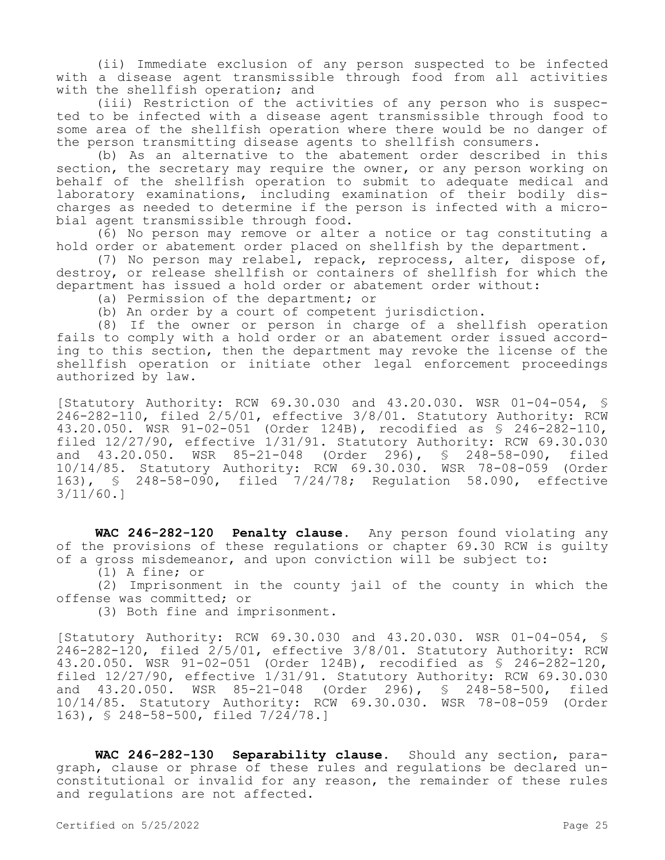(ii) Immediate exclusion of any person suspected to be infected with a disease agent transmissible through food from all activities with the shellfish operation; and

(iii) Restriction of the activities of any person who is suspected to be infected with a disease agent transmissible through food to some area of the shellfish operation where there would be no danger of the person transmitting disease agents to shellfish consumers.

(b) As an alternative to the abatement order described in this section, the secretary may require the owner, or any person working on behalf of the shellfish operation to submit to adequate medical and laboratory examinations, including examination of their bodily discharges as needed to determine if the person is infected with a microbial agent transmissible through food.

(6) No person may remove or alter a notice or tag constituting a hold order or abatement order placed on shellfish by the department.

(7) No person may relabel, repack, reprocess, alter, dispose of, destroy, or release shellfish or containers of shellfish for which the department has issued a hold order or abatement order without:

(a) Permission of the department; or

(b) An order by a court of competent jurisdiction.

(8) If the owner or person in charge of a shellfish operation fails to comply with a hold order or an abatement order issued according to this section, then the department may revoke the license of the shellfish operation or initiate other legal enforcement proceedings authorized by law.

[Statutory Authority: RCW 69.30.030 and 43.20.030. WSR 01-04-054, § 246-282-110, filed 2/5/01, effective 3/8/01. Statutory Authority: RCW 43.20.050. WSR 91-02-051 (Order 124B), recodified as § 246-282-110, filed 12/27/90, effective 1/31/91. Statutory Authority: RCW 69.30.030 and 43.20.050. WSR 85-21-048 (Order 296), § 248-58-090, filed 10/14/85. Statutory Authority: RCW 69.30.030. WSR 78-08-059 (Order 163), § 248-58-090, filed 7/24/78; Regulation 58.090, effective 3/11/60.]

**WAC 246-282-120 Penalty clause.** Any person found violating any of the provisions of these regulations or chapter 69.30 RCW is guilty of a gross misdemeanor, and upon conviction will be subject to:

(1) A fine; or

(2) Imprisonment in the county jail of the county in which the offense was committed; or

(3) Both fine and imprisonment.

[Statutory Authority: RCW 69.30.030 and 43.20.030. WSR 01-04-054, § 246-282-120, filed 2/5/01, effective 3/8/01. Statutory Authority: RCW 43.20.050. WSR 91-02-051 (Order 124B), recodified as § 246-282-120, filed 12/27/90, effective 1/31/91. Statutory Authority: RCW 69.30.030 and 43.20.050. WSR 85-21-048 (Order 296), § 248-58-500, filed 10/14/85. Statutory Authority: RCW 69.30.030. WSR 78-08-059 (Order 163), § 248-58-500, filed 7/24/78.]

**WAC 246-282-130 Separability clause.** Should any section, paragraph, clause or phrase of these rules and regulations be declared unconstitutional or invalid for any reason, the remainder of these rules and regulations are not affected.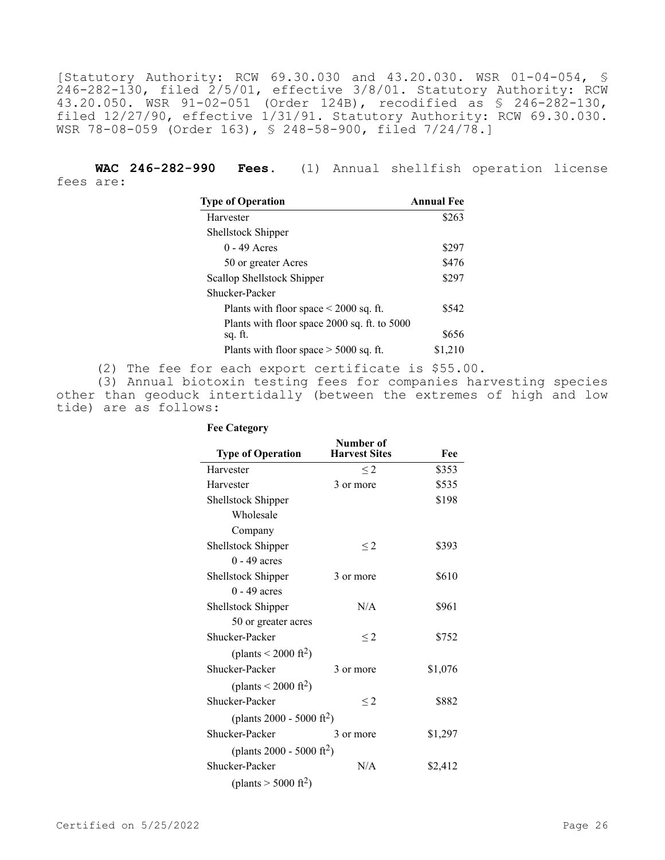[Statutory Authority: RCW 69.30.030 and 43.20.030. WSR 01-04-054, § 246-282-130, filed 2/5/01, effective 3/8/01. Statutory Authority: RCW 43.20.050. WSR 91-02-051 (Order 124B), recodified as § 246-282-130, filed 12/27/90, effective 1/31/91. Statutory Authority: RCW 69.30.030. WSR 78-08-059 (Order 163), § 248-58-900, filed 7/24/78.]

**WAC 246-282-990 Fees.** (1) Annual shellfish operation license fees are:

| <b>Type of Operation</b>                     | <b>Annual Fee</b> |
|----------------------------------------------|-------------------|
| Harvester                                    | \$263             |
| Shellstock Shipper                           |                   |
| $0 - 49$ Acres                               | \$297             |
| 50 or greater Acres                          | \$476             |
| Scallop Shellstock Shipper                   | \$297             |
| Shucker-Packer                               |                   |
| Plants with floor space $\leq 2000$ sq. ft.  | \$542             |
| Plants with floor space 2000 sq. ft. to 5000 |                   |
| sq. ft.                                      | \$656             |
| Plants with floor space $>$ 5000 sq. ft.     | \$1,210           |

(2) The fee for each export certificate is \$55.00.

(3) Annual biotoxin testing fees for companies harvesting species other than geoduck intertidally (between the extremes of high and low tide) are as follows:

| <b>Type of Operation</b>              | Number of<br><b>Harvest Sites</b> | Fee     |
|---------------------------------------|-----------------------------------|---------|
| Harvester                             | $\leq$ 2                          | \$353   |
| Harvester                             | 3 or more                         | \$535   |
| Shellstock Shipper                    |                                   | \$198   |
| Wholesale                             |                                   |         |
| Company                               |                                   |         |
| Shellstock Shipper                    | $\leq$ 2                          | \$393   |
| $0 - 49$ acres                        |                                   |         |
| Shellstock Shipper                    | 3 or more                         | \$610   |
| $0 - 49$ acres                        |                                   |         |
| Shellstock Shipper                    | N/A                               | \$961   |
| 50 or greater acres                   |                                   |         |
| Shucker-Packer                        | $\leq$ 2                          | \$752   |
| (plants $\leq 2000$ ft <sup>2</sup> ) |                                   |         |
| Shucker-Packer                        | 3 or more                         | \$1,076 |
| (plants $\leq 2000 \text{ ft}^2$ )    |                                   |         |
| Shucker-Packer                        | $\leq$ 2                          | \$882   |
| (plants 2000 - 5000 ft <sup>2</sup> ) |                                   |         |
| Shucker-Packer                        | 3 or more                         | \$1,297 |
| (plants 2000 - 5000 ft <sup>2</sup> ) |                                   |         |
| Shucker-Packer                        | N/A                               | \$2,412 |
| (plants $> 5000$ ft <sup>2</sup> )    |                                   |         |

**Fee Category**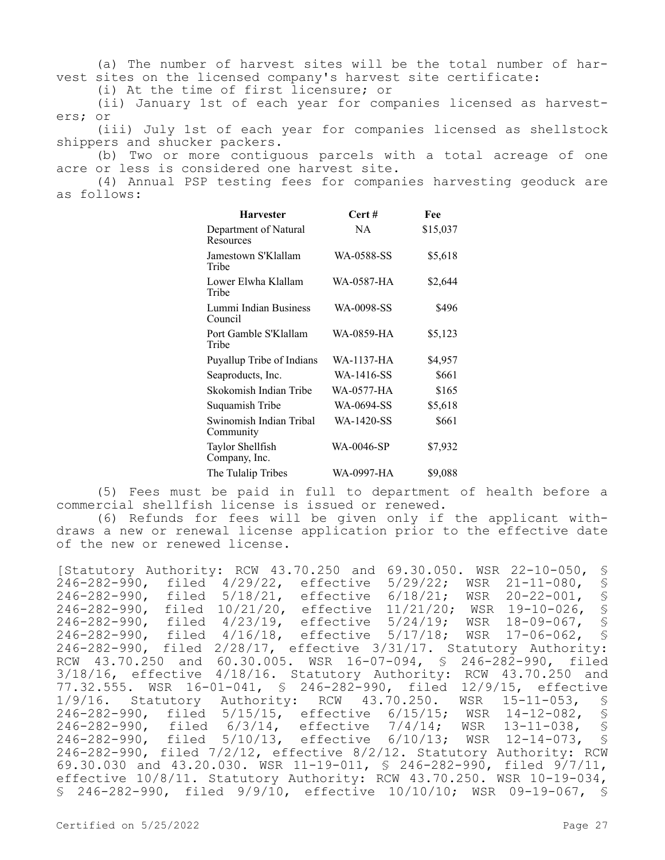(a) The number of harvest sites will be the total number of harvest sites on the licensed company's harvest site certificate:

(i) At the time of first licensure; or

(ii) January 1st of each year for companies licensed as harvesters; or

(iii) July 1st of each year for companies licensed as shellstock shippers and shucker packers.

(b) Two or more contiguous parcels with a total acreage of one acre or less is considered one harvest site.

(4) Annual PSP testing fees for companies harvesting geoduck are as follows:

| <b>Harvester</b>                     | Cert#      | Fee      |
|--------------------------------------|------------|----------|
| Department of Natural<br>Resources   | NA         | \$15,037 |
| Jamestown S'Klallam<br>Tribe         | WA-0588-SS | \$5,618  |
| Lower Elwha Klallam<br>Tribe         | WA-0587-HA | \$2,644  |
| Lummi Indian Business<br>Council     | WA-0098-SS | \$496    |
| Port Gamble S'Klallam<br>Tribe       | WA-0859-HA | \$5,123  |
| Puyallup Tribe of Indians            | WA-1137-HA | \$4,957  |
| Seaproducts, Inc.                    | WA-1416-SS | \$661    |
| Skokomish Indian Tribe               | WA-0577-HA | \$165    |
| Suquamish Tribe                      | WA-0694-SS | \$5,618  |
| Swinomish Indian Tribal<br>Community | WA-1420-SS | \$661    |
| Taylor Shellfish<br>Company, Inc.    | WA-0046-SP | \$7,932  |
| The Tulalip Tribes                   | WA-0997-HA | \$9,088  |

(5) Fees must be paid in full to department of health before a commercial shellfish license is issued or renewed.

(6) Refunds for fees will be given only if the applicant withdraws a new or renewal license application prior to the effective date of the new or renewed license.

[Statutory Authority: RCW 43.70.250 and 69.30.050. WSR 22-10-050, § 246-282-990, filed 4/29/22, effective 5/29/22; WSR 21-11-080, § 246-282-990, filed 5/18/21, effective 6/18/21; WSR 20-22-001, § 246-282-990, filed 10/21/20, effective 11/21/20; WSR 19-10-026, § 246-282-990, filed 4/23/19, effective 5/24/19; WSR 18-09-067, § 246-282-990, filed 4/16/18, effective 5/17/18; WSR 17-06-062, § 246-282-990, filed 2/28/17, effective 3/31/17. Statutory Authority: RCW 43.70.250 and 60.30.005. WSR 16-07-094, § 246-282-990, filed 3/18/16, effective 4/18/16. Statutory Authority: RCW 43.70.250 and 77.32.555. WSR 16-01-041, § 246-282-990, filed 12/9/15, effective 1/9/16. Statutory Authority: RCW 43.70.250. WSR 15-11-053, § 246-282-990, filed 5/15/15, effective 6/15/15; WSR 14-12-082, § 246-282-990, filed 6/3/14, effective 7/4/14; WSR 13-11-038, § 246-282-990, filed 5/10/13, effective 6/10/13; WSR 12-14-073, § 246-282-990, filed 7/2/12, effective 8/2/12. Statutory Authority: RCW 69.30.030 and 43.20.030. WSR 11-19-011, § 246-282-990, filed 9/7/11, effective 10/8/11. Statutory Authority: RCW 43.70.250. WSR 10-19-034, § 246-282-990, filed 9/9/10, effective 10/10/10; WSR 09-19-067, §